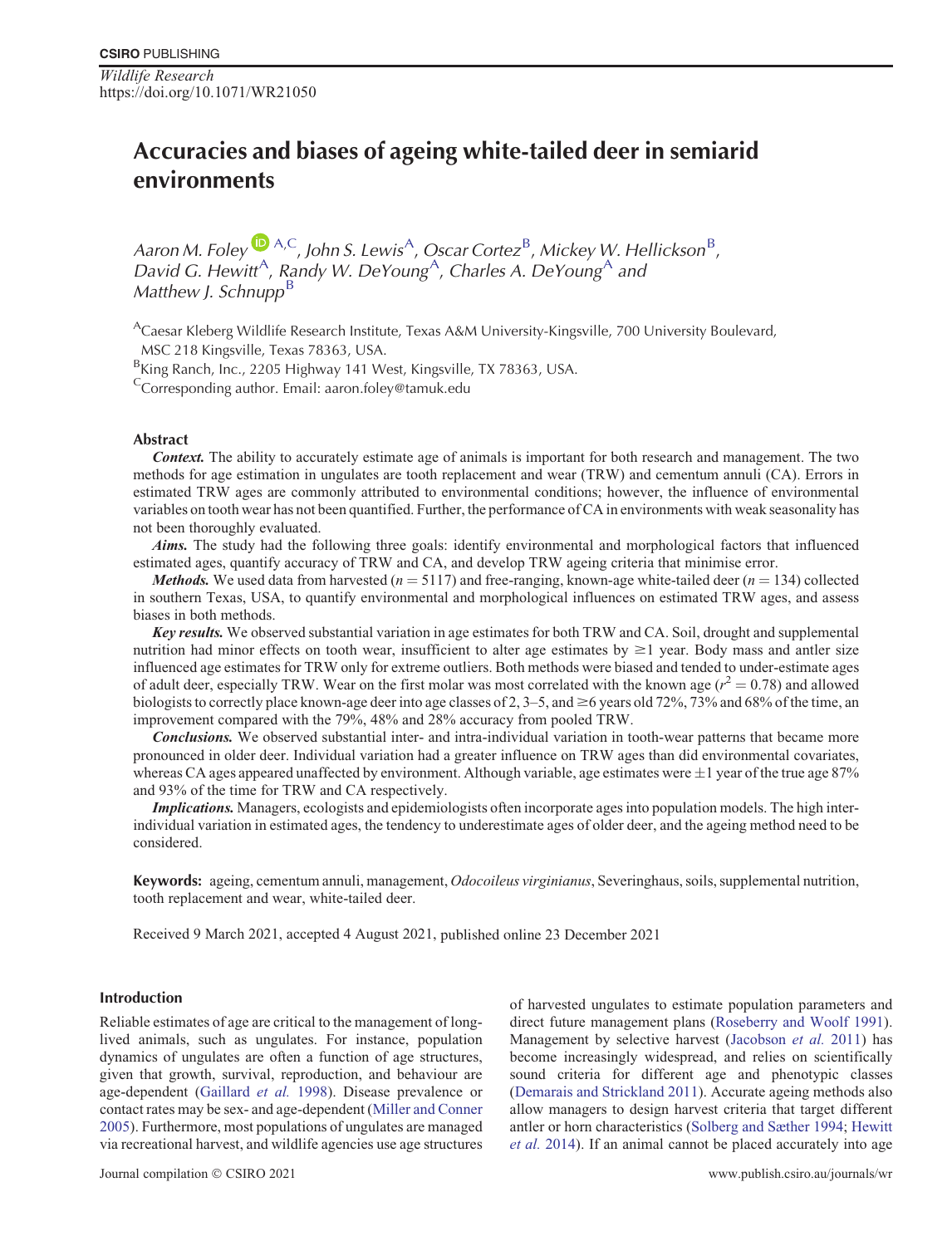*Wildlife Research* https://doi.org/10.1071/WR21050

# **Accuracies and biases of ageing white-tailed deer in semiarid environments**

Aaron M. Foley  $\bigcup_{A,C} A, C}$ , John S. Lewis<sup>A</sup>, Oscar Cortez<sup>B</sup>, Mickey W. Hellickson<sup>B</sup>, David G. Hewitt<sup>A</sup>, Randy W. DeYoung<sup>A</sup>, Charles A. DeYoung<sup>A</sup> and *Matthew J. Schnupp*<sup>b</sup>

ACaesar Kleberg Wildlife Research Institute, Texas A&M University-Kingsville, 700 University Boulevard, MSC 218 Kingsville, Texas 78363, USA.

<sup>B</sup>King Ranch, Inc., 2205 Highway 141 West, Kingsville, TX 78363, USA.

<sup>C</sup>Corresponding author. Email: aaron.foley@tamuk.edu

# **Abstract**

**Context.** The ability to accurately estimate age of animals is important for both research and management. The two methods for age estimation in ungulates are tooth replacement and wear (TRW) and cementum annuli (CA). Errors in estimated TRW ages are commonly attributed to environmental conditions; however, the influence of environmental variables on tooth wear has not been quantified. Further, the performance of CA in environments with weak seasonality has not been thoroughly evaluated.

**Aims.** The study had the following three goals: identify environmental and morphological factors that influenced estimated ages, quantify accuracy of TRW and CA, and develop TRW ageing criteria that minimise error.

*Methods.* We used data from harvested ( $n = 5117$ ) and free-ranging, known-age white-tailed deer ( $n = 134$ ) collected in southern Texas, USA, to quantify environmental and morphological influences on estimated TRW ages, and assess biases in both methods.

**Key results.** We observed substantial variation in age estimates for both TRW and CA. Soil, drought and supplemental nutrition had minor effects on tooth wear, insufficient to alter age estimates by  $\geq 1$  year. Body mass and antler size influenced age estimates for TRW only for extreme outliers. Both methods were biased and tended to under-estimate ages of adult deer, especially TRW. Wear on the first molar was most correlated with the known age ( $r^2 = 0.78$ ) and allowed biologists to correctly place known-age deer into age classes of 2,  $3-5$ , and  $\geq 6$  years old 72%, 73% and 68% of the time, an improvement compared with the 79%, 48% and 28% accuracy from pooled TRW.

**Conclusions.** We observed substantial inter- and intra-individual variation in tooth-wear patterns that became more pronounced in older deer. Individual variation had a greater influence on TRW ages than did environmental covariates, whereas CA ages appeared unaffected by environment. Although variable, age estimates were  $\pm 1$  year of the true age 87% and 93% of the time for TRW and CA respectively.

**Implications.** Managers, ecologists and epidemiologists often incorporate ages into population models. The high interindividual variation in estimated ages, the tendency to underestimate ages of older deer, and the ageing method need to be considered.

**Keywords:** ageing, cementum annuli, management, *Odocoileus virginianus*, Severinghaus, soils, supplemental nutrition, tooth replacement and wear, white-tailed deer.

Received 9 March 2021, accepted 4 August 2021, published online 23 December 2021

# **Introduction**

Reliable estimates of age are critical to the management of longlived animals, such as ungulates. For instance, population dynamics of ungulates are often a function of age structures, given that growth, survival, reproduction, and behaviour are age-dependent [\(Gaillard](#page-11-0) *et al.* 1998). Disease prevalence or contact rates may be sex- and age-dependent [\(Miller and Conner](#page-11-0) [2005](#page-11-0)). Furthermore, most populations of ungulates are managed via recreational harvest, and wildlife agencies use age structures

of harvested ungulates to estimate population parameters and direct future management plans ([Roseberry and Woolf 1991\)](#page-11-0). Management by selective harvest [\(Jacobson](#page-11-0) *et al.* 2011) has become increasingly widespread, and relies on scientifically sound criteria for different age and phenotypic classes [\(Demarais and Strickland 2011\)](#page-10-0). Accurate ageing methods also allow managers to design harvest criteria that target different antler or horn characteristics [\(Solberg and Sæther 1994;](#page-12-0) [Hewitt](#page-11-0) *[et al.](#page-11-0)* 2014). If an animal cannot be placed accurately into age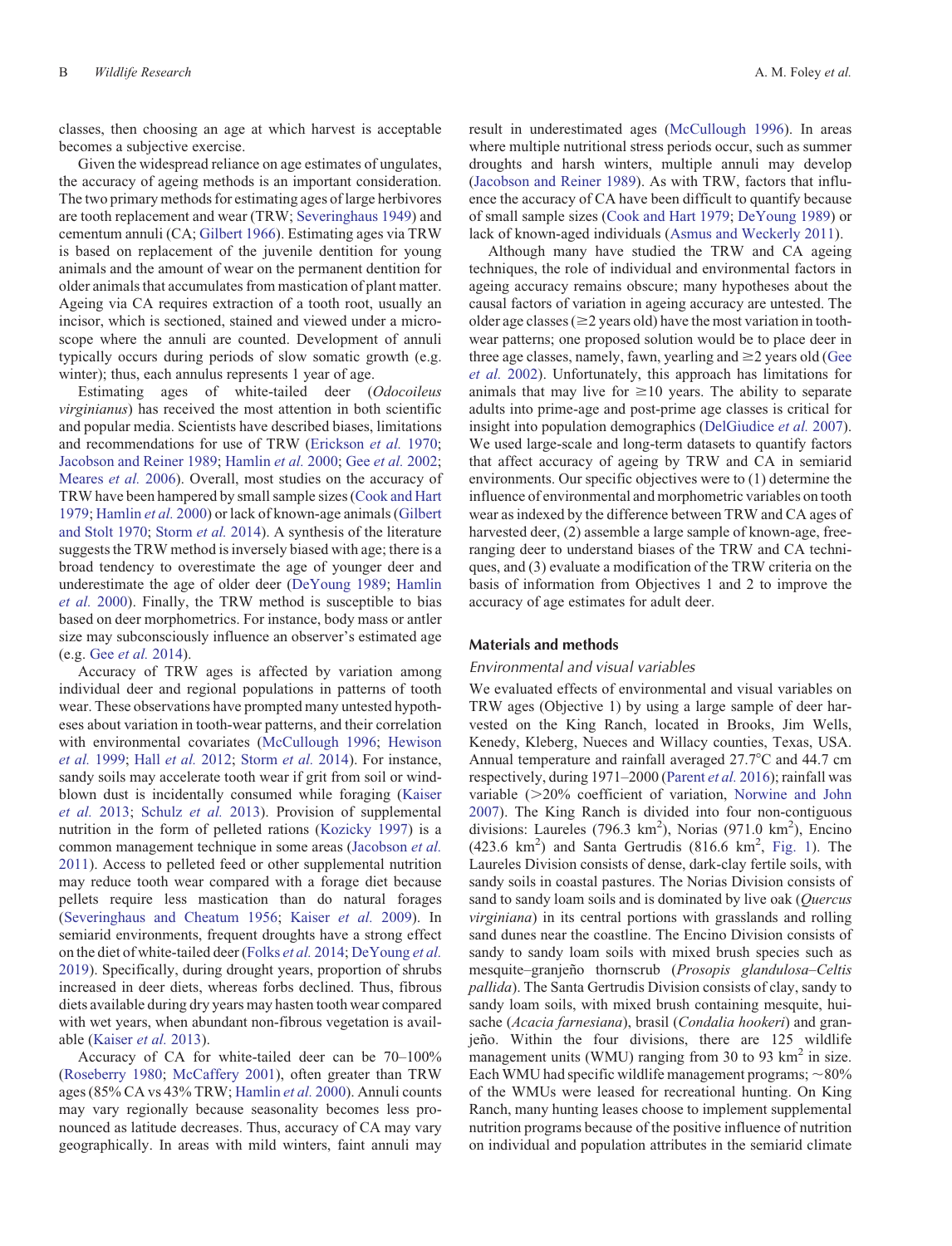classes, then choosing an age at which harvest is acceptable becomes a subjective exercise.

Given the widespread reliance on age estimates of ungulates, the accuracy of ageing methods is an important consideration. The two primary methods for estimating ages of large herbivores are tooth replacement and wear (TRW; [Severinghaus 1949](#page-12-0)) and cementum annuli (CA; [Gilbert 1966\)](#page-11-0). Estimating ages via TRW is based on replacement of the juvenile dentition for young animals and the amount of wear on the permanent dentition for older animals that accumulates from mastication of plant matter. Ageing via CA requires extraction of a tooth root, usually an incisor, which is sectioned, stained and viewed under a microscope where the annuli are counted. Development of annuli typically occurs during periods of slow somatic growth (e.g. winter); thus, each annulus represents 1 year of age.

Estimating ages of white-tailed deer (*Odocoileus virginianus*) has received the most attention in both scientific and popular media. Scientists have described biases, limitations and recommendations for use of TRW [\(Erickson](#page-10-0) *et al.* 1970; [Jacobson and Reiner 1989](#page-11-0); [Hamlin](#page-11-0) *et al.* 2000; Gee *et al.* [2002;](#page-11-0) [Meares](#page-11-0) *et al.* 2006). Overall, most studies on the accuracy of TRW have been hampered by small sample sizes [\(Cook and Hart](#page-10-0) [1979;](#page-10-0) [Hamlin](#page-11-0) *et al.* 2000) or lack of known-age animals ([Gilbert](#page-11-0) [and Stolt 1970](#page-11-0); [Storm](#page-12-0) *et al.* 2014). A synthesis of the literature suggests the TRW method is inversely biased with age; there is a broad tendency to overestimate the age of younger deer and underestimate the age of older deer ([DeYoung 1989;](#page-10-0) [Hamlin](#page-11-0) *[et al.](#page-11-0)* 2000). Finally, the TRW method is susceptible to bias based on deer morphometrics. For instance, body mass or antler size may subconsciously influence an observer's estimated age (e.g. Gee *[et al.](#page-11-0)* 2014).

Accuracy of TRW ages is affected by variation among individual deer and regional populations in patterns of tooth wear. These observations have prompted many untested hypotheses about variation in tooth-wear patterns, and their correlation with environmental covariates [\(McCullough 1996;](#page-11-0) [Hewison](#page-11-0) *[et al.](#page-11-0)* 1999; Hall *[et al.](#page-11-0)* 2012; [Storm](#page-12-0) *et al.* 2014). For instance, sandy soils may accelerate tooth wear if grit from soil or windblown dust is incidentally consumed while foraging ([Kaiser](#page-11-0) *[et al.](#page-11-0)* 2013; [Schulz](#page-11-0) *et al.* 2013). Provision of supplemental nutrition in the form of pelleted rations [\(Kozicky 1997](#page-11-0)) is a common management technique in some areas [\(Jacobson](#page-11-0) *et al.* [2011\)](#page-11-0). Access to pelleted feed or other supplemental nutrition may reduce tooth wear compared with a forage diet because pellets require less mastication than do natural forages [\(Severinghaus and Cheatum 1956;](#page-12-0) [Kaiser](#page-11-0) *et al.* 2009). In semiarid environments, frequent droughts have a strong effect on the diet of white-tailed deer [\(Folks](#page-10-0) *et al.* 2014; [DeYoung](#page-10-0) *et al.* [2019\)](#page-10-0). Specifically, during drought years, proportion of shrubs increased in deer diets, whereas forbs declined. Thus, fibrous diets available during dry years may hasten tooth wear compared with wet years, when abundant non-fibrous vegetation is available [\(Kaiser](#page-11-0) *et al.* 2013).

Accuracy of CA for white-tailed deer can be 70–100% [\(Roseberry 1980;](#page-11-0) [McCaffery 2001](#page-11-0)), often greater than TRW ages (85% CA vs 43% TRW; [Hamlin](#page-11-0) *et al.* 2000). Annuli counts may vary regionally because seasonality becomes less pronounced as latitude decreases. Thus, accuracy of CA may vary geographically. In areas with mild winters, faint annuli may

result in underestimated ages ([McCullough 1996\)](#page-11-0). In areas where multiple nutritional stress periods occur, such as summer droughts and harsh winters, multiple annuli may develop ([Jacobson and Reiner 1989\)](#page-11-0). As with TRW, factors that influence the accuracy of CA have been difficult to quantify because of small sample sizes ([Cook and Hart 1979;](#page-10-0) [DeYoung 1989\)](#page-10-0) or lack of known-aged individuals [\(Asmus and Weckerly 2011](#page-10-0)).

Although many have studied the TRW and CA ageing techniques, the role of individual and environmental factors in ageing accuracy remains obscure; many hypotheses about the causal factors of variation in ageing accuracy are untested. The older age classes ( $\geq$ 2 years old) have the most variation in toothwear patterns; one proposed solution would be to place deer in three age classes, namely, fawn, yearling and  $\geq$  years old ([Gee](#page-11-0) *[et al.](#page-11-0)* 2002). Unfortunately, this approach has limitations for animals that may live for  $\geq 10$  years. The ability to separate adults into prime-age and post-prime age classes is critical for insight into population demographics ([DelGiudice](#page-10-0) *et al.* 2007). We used large-scale and long-term datasets to quantify factors that affect accuracy of ageing by TRW and CA in semiarid environments. Our specific objectives were to (1) determine the influence of environmental and morphometric variables on tooth wear as indexed by the difference between TRW and CA ages of harvested deer, (2) assemble a large sample of known-age, freeranging deer to understand biases of the TRW and CA techniques, and (3) evaluate a modification of the TRW criteria on the basis of information from Objectives 1 and 2 to improve the accuracy of age estimates for adult deer.

#### **Materials and methods**

#### *Environmental and visual variables*

We evaluated effects of environmental and visual variables on TRW ages (Objective 1) by using a large sample of deer harvested on the King Ranch, located in Brooks, Jim Wells, Kenedy, Kleberg, Nueces and Willacy counties, Texas, USA. Annual temperature and rainfall averaged  $27.7^{\circ}$ C and 44.7 cm respectively, during 1971–2000 [\(Parent](#page-11-0) *et al.* 2016); rainfall was variable  $(>=20\%$  coefficient of variation, [Norwine and John](#page-11-0) [2007](#page-11-0)). The King Ranch is divided into four non-contiguous divisions: Laureles (796.3 km<sup>2</sup>), Norias (971.0 km<sup>2</sup>), Encino  $(423.6 \text{ km}^2)$  and Santa Gertrudis  $(816.6 \text{ km}^2, \text{Fig. 1}).$  The Laureles Division consists of dense, dark-clay fertile soils, with sandy soils in coastal pastures. The Norias Division consists of sand to sandy loam soils and is dominated by live oak (*Quercus virginiana*) in its central portions with grasslands and rolling sand dunes near the coastline. The Encino Division consists of sandy to sandy loam soils with mixed brush species such as mesquite–granjen˜o thornscrub (*Prosopis glandulosa*–*Celtis pallida*). The Santa Gertrudis Division consists of clay, sandy to sandy loam soils, with mixed brush containing mesquite, huisache (*Acacia farnesiana*), brasil (*Condalia hookeri*) and granjeño. Within the four divisions, there are 125 wildlife management units (WMU) ranging from 30 to 93  $\text{km}^2$  in size. Each WMU had specific wildlife management programs;  $\sim$ 80% of the WMUs were leased for recreational hunting. On King Ranch, many hunting leases choose to implement supplemental nutrition programs because of the positive influence of nutrition on individual and population attributes in the semiarid climate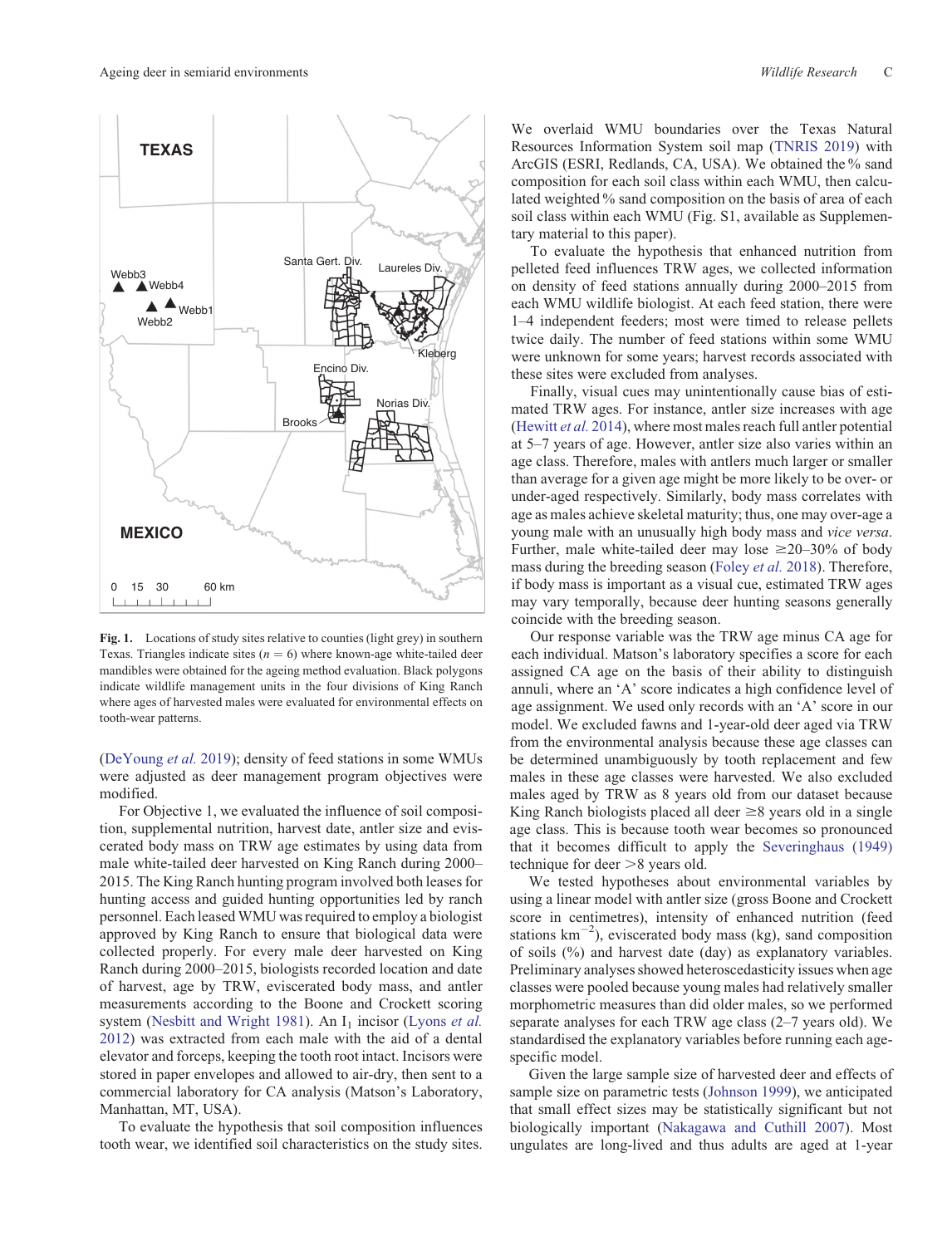<span id="page-2-0"></span>

Fig. 1. Locations of study sites relative to counties (light grey) in southern Texas. Triangles indicate sites  $(n = 6)$  where known-age white-tailed deer mandibles were obtained for the ageing method evaluation. Black polygons indicate wildlife management units in the four divisions of King Ranch where ages of harvested males were evaluated for environmental effects on tooth-wear patterns.

([DeYoung](#page-10-0) *et al.* 2019); density of feed stations in some WMUs were adjusted as deer management program objectives were modified.

For Objective 1, we evaluated the influence of soil composition, supplemental nutrition, harvest date, antler size and eviscerated body mass on TRW age estimates by using data from male white-tailed deer harvested on King Ranch during 2000– 2015. The King Ranch hunting program involved both leases for hunting access and guided hunting opportunities led by ranch personnel. Each leased WMU was required to employ a biologist approved by King Ranch to ensure that biological data were collected properly. For every male deer harvested on King Ranch during 2000–2015, biologists recorded location and date of harvest, age by TRW, eviscerated body mass, and antler measurements according to the Boone and Crockett scoring system ([Nesbitt and Wright 1981\)](#page-11-0). An I<sub>1</sub> incisor ([Lyons](#page-11-0) *et al.* [2012](#page-11-0)) was extracted from each male with the aid of a dental elevator and forceps, keeping the tooth root intact. Incisors were stored in paper envelopes and allowed to air-dry, then sent to a commercial laboratory for CA analysis (Matson's Laboratory, Manhattan, MT, USA).

To evaluate the hypothesis that soil composition influences tooth wear, we identified soil characteristics on the study sites.

We overlaid WMU boundaries over the Texas Natural Resources Information System soil map [\(TNRIS 2019\)](#page-12-0) with ArcGIS (ESRI, Redlands, CA, USA). We obtained the % sand composition for each soil class within each WMU, then calculated weighted % sand composition on the basis of area of each soil class within each WMU (Fig. S1, available as Supplementary material to this paper).

To evaluate the hypothesis that enhanced nutrition from pelleted feed influences TRW ages, we collected information on density of feed stations annually during 2000–2015 from each WMU wildlife biologist. At each feed station, there were 1–4 independent feeders; most were timed to release pellets twice daily. The number of feed stations within some WMU were unknown for some years; harvest records associated with these sites were excluded from analyses.

Finally, visual cues may unintentionally cause bias of estimated TRW ages. For instance, antler size increases with age ([Hewitt](#page-11-0) *et al.* 2014), where most males reach full antler potential at 5–7 years of age. However, antler size also varies within an age class. Therefore, males with antlers much larger or smaller than average for a given age might be more likely to be over- or under-aged respectively. Similarly, body mass correlates with age as males achieve skeletal maturity; thus, one may over-age a young male with an unusually high body mass and *vice versa*. Further, male white-tailed deer may lose  $\geq 20-30\%$  of body mass during the breeding season [\(Foley](#page-10-0) *et al.* 2018). Therefore, if body mass is important as a visual cue, estimated TRW ages may vary temporally, because deer hunting seasons generally coincide with the breeding season.

Our response variable was the TRW age minus CA age for each individual. Matson's laboratory specifies a score for each assigned CA age on the basis of their ability to distinguish annuli, where an 'A' score indicates a high confidence level of age assignment. We used only records with an 'A' score in our model. We excluded fawns and 1-year-old deer aged via TRW from the environmental analysis because these age classes can be determined unambiguously by tooth replacement and few males in these age classes were harvested. We also excluded males aged by TRW as 8 years old from our dataset because King Ranch biologists placed all deer  $\geq 8$  years old in a single age class. This is because tooth wear becomes so pronounced that it becomes difficult to apply the [Severinghaus \(1949\)](#page-12-0) technique for deer  $>8$  years old.

We tested hypotheses about environmental variables by using a linear model with antler size (gross Boone and Crockett score in centimetres), intensity of enhanced nutrition (feed stations  $km^{-2}$ ), eviscerated body mass (kg), sand composition of soils (%) and harvest date (day) as explanatory variables. Preliminary analyses showed heteroscedasticity issues when age classes were pooled because young males had relatively smaller morphometric measures than did older males, so we performed separate analyses for each TRW age class (2–7 years old). We standardised the explanatory variables before running each agespecific model.

Given the large sample size of harvested deer and effects of sample size on parametric tests ([Johnson 1999](#page-11-0)), we anticipated that small effect sizes may be statistically significant but not biologically important [\(Nakagawa and Cuthill 2007](#page-11-0)). Most ungulates are long-lived and thus adults are aged at 1-year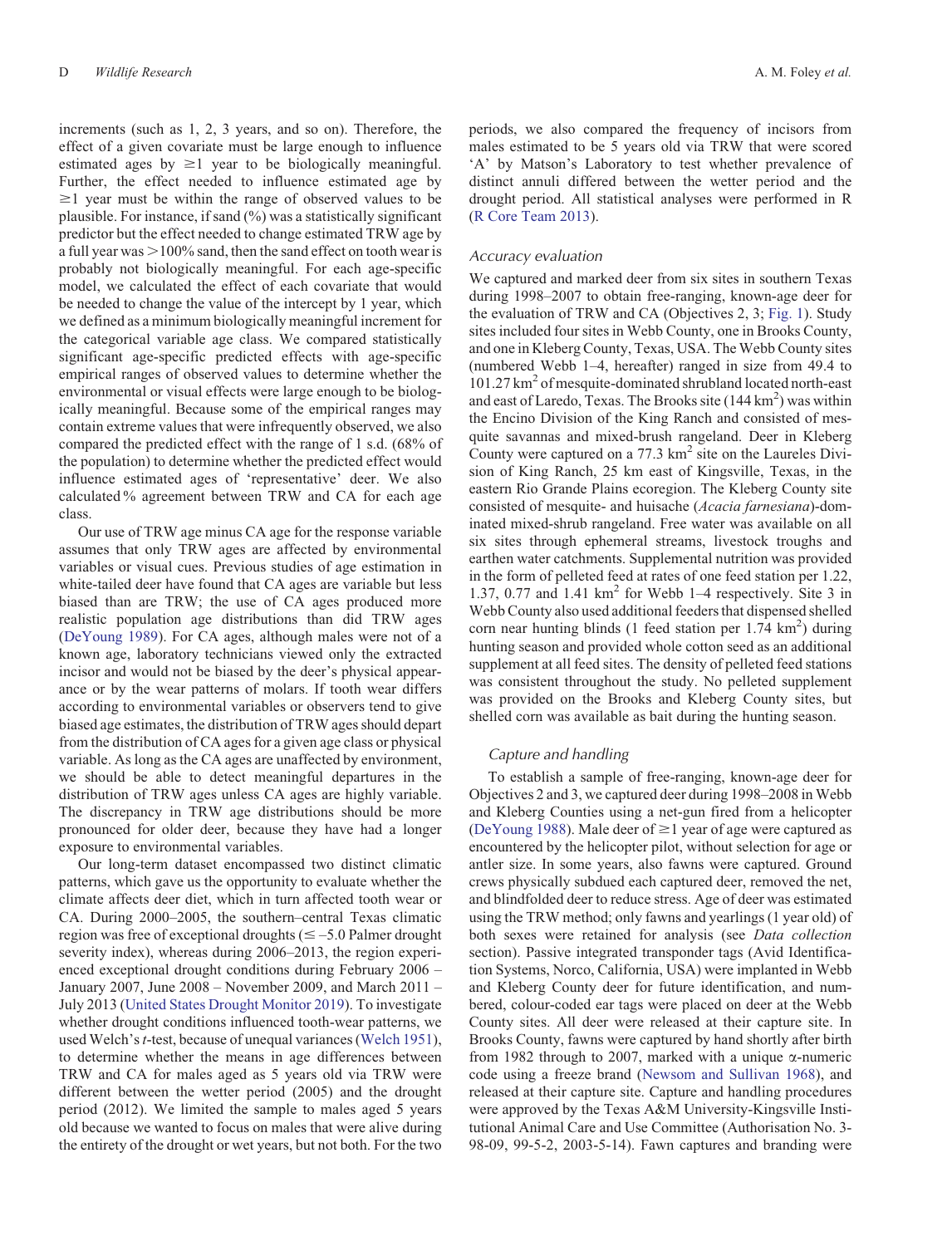increments (such as 1, 2, 3 years, and so on). Therefore, the effect of a given covariate must be large enough to influence estimated ages by  $\geq 1$  year to be biologically meaningful. Further, the effect needed to influence estimated age by  $\geq$ 1 year must be within the range of observed values to be plausible. For instance, if sand (%) was a statistically significant predictor but the effect needed to change estimated TRW age by a full year was  $>100\%$  sand, then the sand effect on tooth wear is probably not biologically meaningful. For each age-specific model, we calculated the effect of each covariate that would be needed to change the value of the intercept by 1 year, which we defined as a minimum biologically meaningful increment for the categorical variable age class. We compared statistically significant age-specific predicted effects with age-specific empirical ranges of observed values to determine whether the environmental or visual effects were large enough to be biologically meaningful. Because some of the empirical ranges may contain extreme values that were infrequently observed, we also compared the predicted effect with the range of 1 s.d. (68% of the population) to determine whether the predicted effect would influence estimated ages of 'representative' deer. We also calculated % agreement between TRW and CA for each age class.

Our use of TRW age minus CA age for the response variable assumes that only TRW ages are affected by environmental variables or visual cues. Previous studies of age estimation in white-tailed deer have found that CA ages are variable but less biased than are TRW; the use of CA ages produced more realistic population age distributions than did TRW ages [\(DeYoung 1989\)](#page-10-0). For CA ages, although males were not of a known age, laboratory technicians viewed only the extracted incisor and would not be biased by the deer's physical appearance or by the wear patterns of molars. If tooth wear differs according to environmental variables or observers tend to give biased age estimates, the distribution of TRW ages should depart from the distribution of CA ages for a given age class or physical variable. As long as the CA ages are unaffected by environment, we should be able to detect meaningful departures in the distribution of TRW ages unless CA ages are highly variable. The discrepancy in TRW age distributions should be more pronounced for older deer, because they have had a longer exposure to environmental variables.

Our long-term dataset encompassed two distinct climatic patterns, which gave us the opportunity to evaluate whether the climate affects deer diet, which in turn affected tooth wear or CA. During 2000–2005, the southern–central Texas climatic region was free of exceptional droughts ( $\leq -5.0$  Palmer drought severity index), whereas during 2006–2013, the region experienced exceptional drought conditions during February 2006 – January 2007, June 2008 – November 2009, and March 2011 – July 2013 [\(United States Drought Monitor 2019](#page-12-0)). To investigate whether drought conditions influenced tooth-wear patterns, we used Welch's*t*-test, because of unequal variances ([Welch 1951\)](#page-12-0), to determine whether the means in age differences between TRW and CA for males aged as 5 years old via TRW were different between the wetter period (2005) and the drought period (2012). We limited the sample to males aged 5 years old because we wanted to focus on males that were alive during the entirety of the drought or wet years, but not both. For the two

periods, we also compared the frequency of incisors from males estimated to be 5 years old via TRW that were scored 'A' by Matson's Laboratory to test whether prevalence of distinct annuli differed between the wetter period and the drought period. All statistical analyses were performed in R ([R Core Team 2013](#page-11-0)).

#### *Accuracy evaluation*

We captured and marked deer from six sites in southern Texas during 1998–2007 to obtain free-ranging, known-age deer for the evaluation of TRW and CA (Objectives 2, 3; [Fig. 1\)](#page-2-0). Study sites included four sites in Webb County, one in Brooks County, and one in Kleberg County, Texas, USA. The Webb County sites (numbered Webb 1–4, hereafter) ranged in size from 49.4 to 101.27 km<sup>2</sup> of mesquite-dominated shrubland located north-east and east of Laredo, Texas. The Brooks site  $(144 \text{ km}^2)$  was within the Encino Division of the King Ranch and consisted of mesquite savannas and mixed-brush rangeland. Deer in Kleberg County were captured on a  $77.3 \text{ km}^2$  site on the Laureles Division of King Ranch, 25 km east of Kingsville, Texas, in the eastern Rio Grande Plains ecoregion. The Kleberg County site consisted of mesquite- and huisache (*Acacia farnesiana*)-dominated mixed-shrub rangeland. Free water was available on all six sites through ephemeral streams, livestock troughs and earthen water catchments. Supplemental nutrition was provided in the form of pelleted feed at rates of one feed station per 1.22, 1.37, 0.77 and 1.41  $km^2$  for Webb 1–4 respectively. Site 3 in Webb County also used additional feeders that dispensed shelled corn near hunting blinds (1 feed station per  $1.74 \text{ km}^2$ ) during hunting season and provided whole cotton seed as an additional supplement at all feed sites. The density of pelleted feed stations was consistent throughout the study. No pelleted supplement was provided on the Brooks and Kleberg County sites, but shelled corn was available as bait during the hunting season.

#### *Capture and handling*

To establish a sample of free-ranging, known-age deer for Objectives 2 and 3, we captured deer during 1998–2008 in Webb and Kleberg Counties using a net-gun fired from a helicopter ([DeYoung 1988](#page-10-0)). Male deer of  $\geq$ 1 year of age were captured as encountered by the helicopter pilot, without selection for age or antler size. In some years, also fawns were captured. Ground crews physically subdued each captured deer, removed the net, and blindfolded deer to reduce stress. Age of deer was estimated using the TRW method; only fawns and yearlings (1 year old) of both sexes were retained for analysis (see *Data collection* section). Passive integrated transponder tags (Avid Identification Systems, Norco, California, USA) were implanted in Webb and Kleberg County deer for future identification, and numbered, colour-coded ear tags were placed on deer at the Webb County sites. All deer were released at their capture site. In Brooks County, fawns were captured by hand shortly after birth from 1982 through to 2007, marked with a unique  $\alpha$ -numeric code using a freeze brand ([Newsom and Sullivan 1968](#page-11-0)), and released at their capture site. Capture and handling procedures were approved by the Texas A&M University-Kingsville Institutional Animal Care and Use Committee (Authorisation No. 3- 98-09, 99-5-2, 2003-5-14). Fawn captures and branding were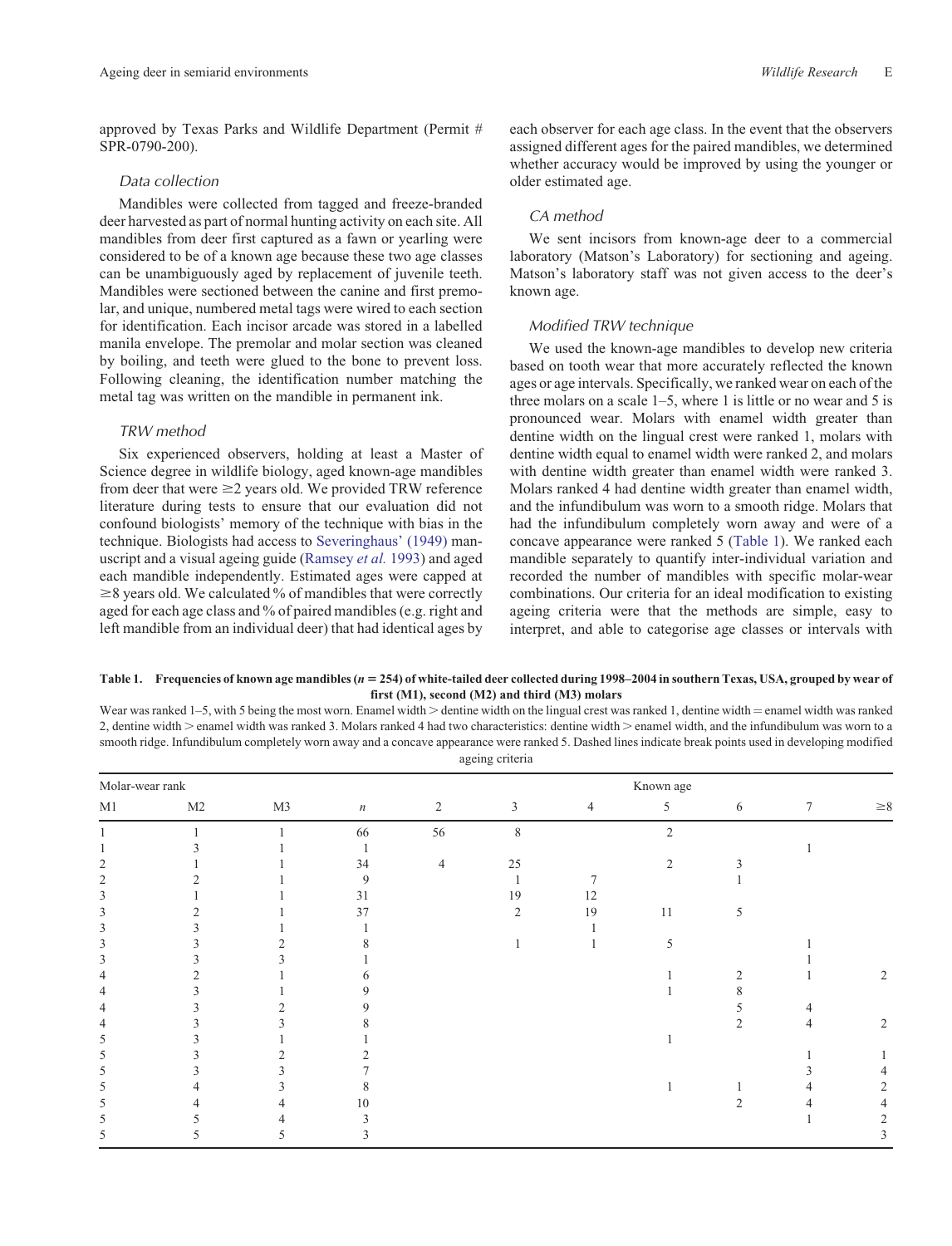<span id="page-4-0"></span>approved by Texas Parks and Wildlife Department (Permit # SPR-0790-200).

#### *Data collection*

Mandibles were collected from tagged and freeze-branded deer harvested as part of normal hunting activity on each site. All mandibles from deer first captured as a fawn or yearling were considered to be of a known age because these two age classes can be unambiguously aged by replacement of juvenile teeth. Mandibles were sectioned between the canine and first premolar, and unique, numbered metal tags were wired to each section for identification. Each incisor arcade was stored in a labelled manila envelope. The premolar and molar section was cleaned by boiling, and teeth were glued to the bone to prevent loss. Following cleaning, the identification number matching the metal tag was written on the mandible in permanent ink.

#### *TRW method*

Six experienced observers, holding at least a Master of Science degree in wildlife biology, aged known-age mandibles from deer that were  $\geq$  years old. We provided TRW reference literature during tests to ensure that our evaluation did not confound biologists' memory of the technique with bias in the technique. Biologists had access to [Severinghaus' \(1949\)](#page-12-0) manuscript and a visual ageing guide ([Ramsey](#page-11-0) *et al.* 1993) and aged each mandible independently. Estimated ages were capped at  $\geq$ 8 years old. We calculated % of mandibles that were correctly aged for each age class and % of paired mandibles (e.g. right and left mandible from an individual deer) that had identical ages by each observer for each age class. In the event that the observers assigned different ages for the paired mandibles, we determined whether accuracy would be improved by using the younger or older estimated age.

# *CA method*

We sent incisors from known-age deer to a commercial laboratory (Matson's Laboratory) for sectioning and ageing. Matson's laboratory staff was not given access to the deer's known age.

## *Modified TRW technique*

We used the known-age mandibles to develop new criteria based on tooth wear that more accurately reflected the known ages or age intervals. Specifically, we ranked wear on each of the three molars on a scale  $1-5$ , where 1 is little or no wear and 5 is pronounced wear. Molars with enamel width greater than dentine width on the lingual crest were ranked 1, molars with dentine width equal to enamel width were ranked 2, and molars with dentine width greater than enamel width were ranked 3. Molars ranked 4 had dentine width greater than enamel width, and the infundibulum was worn to a smooth ridge. Molars that had the infundibulum completely worn away and were of a concave appearance were ranked 5 (Table 1). We ranked each mandible separately to quantify inter-individual variation and recorded the number of mandibles with specific molar-wear combinations. Our criteria for an ideal modification to existing ageing criteria were that the methods are simple, easy to interpret, and able to categorise age classes or intervals with

#### **Table 1. Frequencies of known age mandibles (n** 5 **254) of white-tailed deer collected during 1998–2004 in southern Texas, USA, grouped by wear of first (M1), second (M2) and third (M3) molars**

Wear was ranked 1–5, with 5 being the most worn. Enamel width  $>$  dentine width on the lingual crest was ranked 1, dentine width  $=$  enamel width was ranked 2, dentine width > enamel width was ranked 3. Molars ranked 4 had two characteristics: dentine width > enamel width, and the infundibulum was worn to a smooth ridge. Infundibulum completely worn away and a concave appearance were ranked 5. Dashed lines indicate break points used in developing modified ageing criteria

| Molar-wear rank |    |    |                  |                | Known age      |                |                          |                |                 |                |  |  |
|-----------------|----|----|------------------|----------------|----------------|----------------|--------------------------|----------------|-----------------|----------------|--|--|
| M1              | M2 | M3 | $\boldsymbol{n}$ | $\overline{2}$ | $\mathfrak{Z}$ | $\overline{4}$ | 5                        | 6              | $7\phantom{.0}$ | ${\geq}8$      |  |  |
|                 |    |    | 66               | 56             | 8              |                | $\overline{c}$           |                |                 |                |  |  |
|                 |    |    |                  |                |                |                |                          |                |                 |                |  |  |
|                 |    |    | 34               | $\overline{4}$ | 25             |                | 2                        | 3              |                 |                |  |  |
| 2               |    |    | 9                |                |                |                |                          |                |                 |                |  |  |
|                 |    |    | 31               |                | 19             | 12             |                          |                |                 |                |  |  |
| 3               |    |    | 37               |                | 2              | 19             | 11                       | 5              |                 |                |  |  |
| 3               |    |    |                  |                |                |                |                          |                |                 |                |  |  |
|                 |    |    |                  |                |                |                | $\overline{\phantom{0}}$ |                |                 |                |  |  |
| 3               |    |    |                  |                |                |                |                          |                |                 |                |  |  |
|                 |    |    |                  |                |                |                |                          | $\overline{2}$ |                 | 2              |  |  |
|                 |    |    |                  |                |                |                |                          | δ.             |                 |                |  |  |
|                 |    |    |                  |                |                |                |                          |                |                 |                |  |  |
|                 |    |    |                  |                |                |                |                          |                |                 | $\overline{2}$ |  |  |
| 5.              |    |    |                  |                |                |                |                          |                |                 |                |  |  |
| 5               |    | 2  |                  |                |                |                |                          |                |                 |                |  |  |
| 5               |    |    |                  |                |                |                |                          |                |                 |                |  |  |
| 5               |    |    | 8                |                |                |                |                          |                |                 |                |  |  |
| 5               |    |    | 10               |                |                |                |                          |                |                 |                |  |  |
| 5               |    |    | 3                |                |                |                |                          |                |                 |                |  |  |
| 5               |    | C. | 3                |                |                |                |                          |                |                 |                |  |  |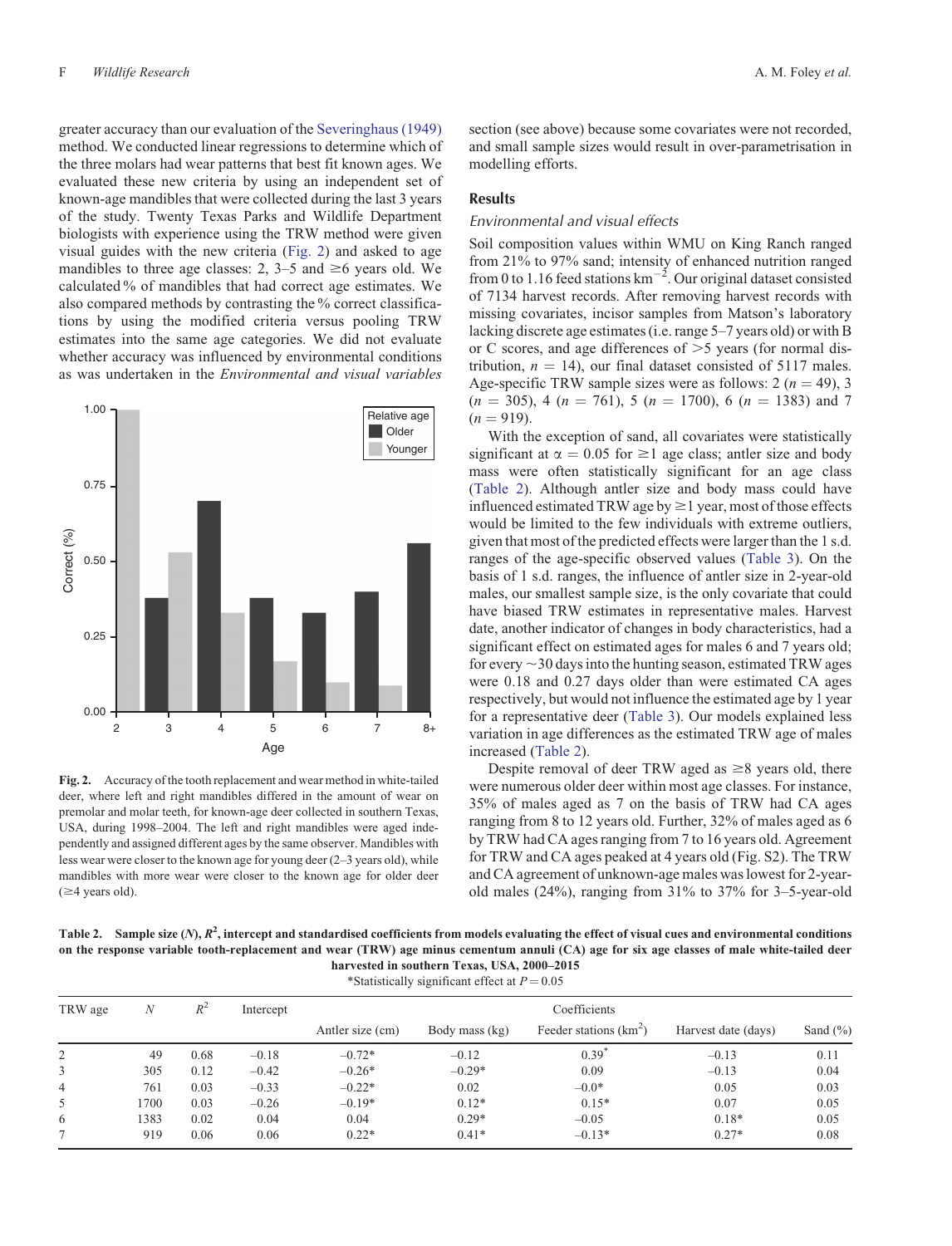<span id="page-5-0"></span>greater accuracy than our evaluation of the [Severinghaus \(1949\)](#page-12-0) method. We conducted linear regressions to determine which of the three molars had wear patterns that best fit known ages. We evaluated these new criteria by using an independent set of known-age mandibles that were collected during the last 3 years of the study. Twenty Texas Parks and Wildlife Department biologists with experience using the TRW method were given visual guides with the new criteria (Fig. 2) and asked to age mandibles to three age classes: 2, 3–5 and  $\geq 6$  years old. We calculated % of mandibles that had correct age estimates. We also compared methods by contrasting the % correct classifica-

tions by using the modified criteria versus pooling TRW estimates into the same age categories. We did not evaluate whether accuracy was influenced by environmental conditions as was undertaken in the *Environmental and visual variables*



**Fig. 2.** Accuracy of the tooth replacement and wear method in white-tailed deer, where left and right mandibles differed in the amount of wear on premolar and molar teeth, for known-age deer collected in southern Texas, USA, during 1998–2004. The left and right mandibles were aged independently and assigned different ages by the same observer. Mandibles with less wear were closer to the known age for young deer (2–3 years old), while mandibles with more wear were closer to the known age for older deer  $(\geq 4$  years old).

section (see above) because some covariates were not recorded, and small sample sizes would result in over-parametrisation in modelling efforts.

#### **Results**

## *Environmental and visual effects*

Soil composition values within WMU on King Ranch ranged from 21% to 97% sand; intensity of enhanced nutrition ranged from 0 to 1.16 feed stations  $km^{-2}$ . Our original dataset consisted of 7134 harvest records. After removing harvest records with missing covariates, incisor samples from Matson's laboratory lacking discrete age estimates (i.e. range 5–7 years old) or with B or C scores, and age differences of  $>5$  years (for normal distribution,  $n = 14$ ), our final dataset consisted of 5117 males. Age-specific TRW sample sizes were as follows:  $2 (n = 49)$ , 3  $(n = 305)$ , 4  $(n = 761)$ , 5  $(n = 1700)$ , 6  $(n = 1383)$  and 7  $(n = 919)$ .

With the exception of sand, all covariates were statistically significant at  $\alpha = 0.05$  for  $\geq 1$  age class; antler size and body mass were often statistically significant for an age class (Table 2). Although antler size and body mass could have influenced estimated TRW age by  $\geq 1$  year, most of those effects would be limited to the few individuals with extreme outliers, given that most of the predicted effects were larger than the 1 s.d. ranges of the age-specific observed values ([Table 3\)](#page-6-0). On the basis of 1 s.d. ranges, the influence of antler size in 2-year-old males, our smallest sample size, is the only covariate that could have biased TRW estimates in representative males. Harvest date, another indicator of changes in body characteristics, had a significant effect on estimated ages for males 6 and 7 years old; for every  $\sim$ 30 days into the hunting season, estimated TRW ages were 0.18 and 0.27 days older than were estimated CA ages respectively, but would not influence the estimated age by 1 year for a representative deer [\(Table 3](#page-6-0)). Our models explained less variation in age differences as the estimated TRW age of males increased (Table 2).

Despite removal of deer TRW aged as  $\geq 8$  years old, there were numerous older deer within most age classes. For instance, 35% of males aged as 7 on the basis of TRW had CA ages ranging from 8 to 12 years old. Further, 32% of males aged as 6 by TRW had CA ages ranging from 7 to 16 years old. Agreement for TRW and CA ages peaked at 4 years old (Fig. S2). The TRW and CA agreement of unknown-age males was lowest for 2-yearold males (24%), ranging from 31% to 37% for 3–5-year-old

Table 2. Sample size  $(N)$ ,  $R^2$ , intercept and standardised coefficients from models evaluating the effect of visual cues and environmental conditions **on the response variable tooth-replacement and wear (TRW) age minus cementum annuli (CA) age for six age classes of male white-tailed deer harvested in southern Texas, USA, 2000–2015**<br>\*Statistically eignificant effect at  $P = 0.05$ 

| *Statistically significant effect at $P = 0.05$ |      |       |           |                  |                |                         |                     |              |  |  |  |  |
|-------------------------------------------------|------|-------|-----------|------------------|----------------|-------------------------|---------------------|--------------|--|--|--|--|
| TRW age                                         | N    | $R^2$ | Intercept | Coefficients     |                |                         |                     |              |  |  |  |  |
|                                                 |      |       |           | Antler size (cm) | Body mass (kg) | Feeder stations $(km2)$ | Harvest date (days) | Sand $(\% )$ |  |  |  |  |
| 2                                               | 49   | 0.68  | $-0.18$   | $-0.72*$         | $-0.12$        | 0.39                    | $-0.13$             | 0.11         |  |  |  |  |
| 3                                               | 305  | 0.12  | $-0.42$   | $-0.26*$         | $-0.29*$       | 0.09                    | $-0.13$             | 0.04         |  |  |  |  |
| 4                                               | 761  | 0.03  | $-0.33$   | $-0.22*$         | 0.02           | $-0.0*$                 | 0.05                | 0.03         |  |  |  |  |
| 5                                               | 1700 | 0.03  | $-0.26$   | $-0.19*$         | $0.12*$        | $0.15*$                 | 0.07                | 0.05         |  |  |  |  |
| 6                                               | 1383 | 0.02  | 0.04      | 0.04             | $0.29*$        | $-0.05$                 | $0.18*$             | 0.05         |  |  |  |  |
|                                                 | 919  | 0.06  | 0.06      | $0.22*$          | $0.41*$        | $-0.13*$                | $0.27*$             | 0.08         |  |  |  |  |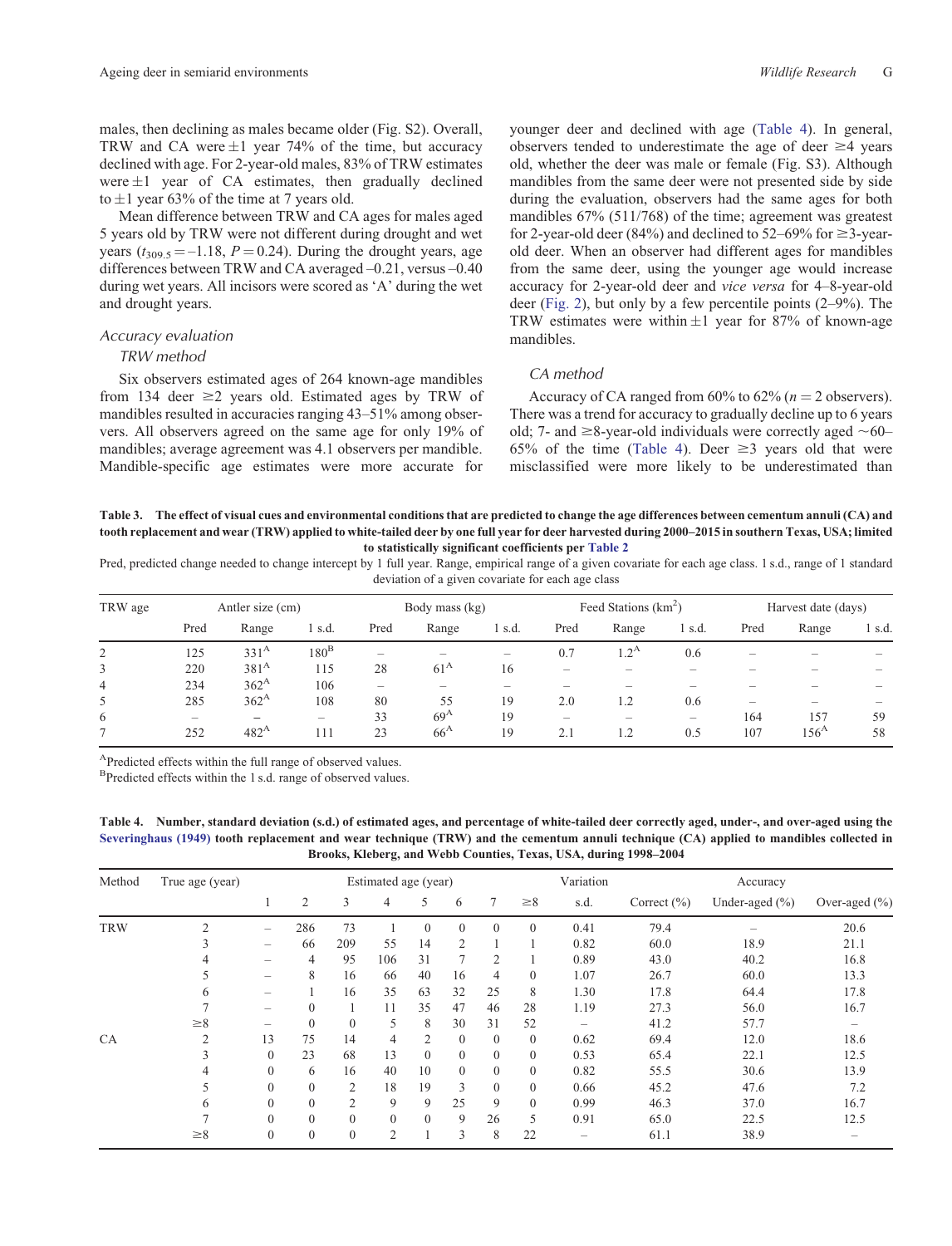<span id="page-6-0"></span>males, then declining as males became older (Fig. S2). Overall, TRW and CA were  $\pm 1$  year 74% of the time, but accuracy declined with age. For 2-year-old males, 83% of TRW estimates were  $\pm 1$  year of CA estimates, then gradually declined to  $\pm 1$  year 63% of the time at 7 years old.

Mean difference between TRW and CA ages for males aged 5 years old by TRW were not different during drought and wet years  $(t_{309.5} = -1.18, P = 0.24)$ . During the drought years, age differences between TRW and CA averaged –0.21, versus –0.40 during wet years. All incisors were scored as 'A' during the wet and drought years.

#### *Accuracy evaluation*

#### *TRW method*

Six observers estimated ages of 264 known-age mandibles from 134 deer  $\geq$ 2 years old. Estimated ages by TRW of mandibles resulted in accuracies ranging 43–51% among observers. All observers agreed on the same age for only 19% of mandibles; average agreement was 4.1 observers per mandible. Mandible-specific age estimates were more accurate for younger deer and declined with age (Table 4). In general, observers tended to underestimate the age of deer  $\geq 4$  years old, whether the deer was male or female (Fig. S3). Although mandibles from the same deer were not presented side by side during the evaluation, observers had the same ages for both mandibles 67% (511/768) of the time; agreement was greatest for 2-year-old deer (84%) and declined to  $52-69\%$  for  $\geq$ 3-yearold deer. When an observer had different ages for mandibles from the same deer, using the younger age would increase accuracy for 2-year-old deer and *vice versa* for 4–8-year-old deer [\(Fig. 2\)](#page-5-0), but only by a few percentile points (2–9%). The TRW estimates were within  $\pm 1$  year for 87% of known-age mandibles.

## *CA method*

Accuracy of CA ranged from  $60\%$  to  $62\%$  ( $n = 2$  observers). There was a trend for accuracy to gradually decline up to 6 years old; 7- and  $\geq$ 8-year-old individuals were correctly aged  $\sim$ 60– 65% of the time (Table 4). Deer  $\geq$ 3 years old that were misclassified were more likely to be underestimated than

**Table 3. The effect of visual cues and environmental conditions that are predicted to change the age differences between cementum annuli (CA) and tooth replacement and wear (TRW) applied to white-tailed deer by one full year for deer harvested during 2000–2015 in southern Texas, USA; limited to statistically significant coefficients per [Table 2](#page-5-0)**

Pred, predicted change needed to change intercept by 1 full year. Range, empirical range of a given covariate for each age class. 1 s.d., range of 1 standard deviation of a given covariate for each age class

| TRW age | Antler size (cm)         |                          |                          | Body mass (kg) |              |        | Feed Stations $(km2)$ |                          |                          | Harvest date (days)      |               |        |
|---------|--------------------------|--------------------------|--------------------------|----------------|--------------|--------|-----------------------|--------------------------|--------------------------|--------------------------|---------------|--------|
|         | Pred                     | Range                    | 1 s.d.                   | Pred           | Range        | 1 s.d. | Pred                  | Range                    | 1 s.d.                   | Pred                     | Range         | 1 s.d. |
| 2       | 125                      | 331 <sup>A</sup>         | $180^{\rm B}$            | -              |              | -      | 0.7                   | 1.2 <sup>A</sup>         | 0.6                      |                          |               |        |
| 3       | 220                      | 381 <sup>A</sup>         | 115                      | 28             | $61^{\rm A}$ | 16     | -                     |                          |                          |                          |               | -      |
| 4       | 234                      | 362 <sup>A</sup>         | 106                      | -              | -            |        |                       |                          |                          |                          |               |        |
| 5.      | 285                      | $362^{\rm A}$            | 108                      | 80             | 55           | 19     | 2.0                   | 1.2                      | 0.6                      | $\overline{\phantom{a}}$ | -             | -      |
| 6       | $\overline{\phantom{a}}$ | $\overline{\phantom{a}}$ | $\overline{\phantom{a}}$ | 33             | $69^{\rm A}$ | 19     | -                     | $\overline{\phantom{a}}$ | $\overline{\phantom{0}}$ | 164                      | 157           | 59     |
|         | 252                      | 482 <sup>A</sup>         | 111                      | 23             | $66^{\rm A}$ | 19     | 2.1                   | 1.2                      | 0.5                      | 107                      | $156^{\rm A}$ | 58     |

APredicted effects within the full range of observed values.

<sup>B</sup>Predicted effects within the 1 s.d. range of observed values.

**Table 4. Number, standard deviation (s.d.) of estimated ages, and percentage of white-tailed deer correctly aged, under-, and over-aged using the [Severinghaus \(1949\)](#page-12-0) tooth replacement and wear technique (TRW) and the cementum annuli technique (CA) applied to mandibles collected in Brooks, Kleberg, and Webb Counties, Texas, USA, during 1998–2004**

| Method     | True age (year) | Estimated age (year)     |                |                |          |              |              |                | Variation      |      |                 | Accuracy           |                   |  |
|------------|-----------------|--------------------------|----------------|----------------|----------|--------------|--------------|----------------|----------------|------|-----------------|--------------------|-------------------|--|
|            |                 |                          | $\overline{2}$ | 3              | 4        | 5            | 6            | 7              | $\geq 8$       | s.d. | Correct $(\% )$ | Under-aged $(\% )$ | Over-aged $(\% )$ |  |
| <b>TRW</b> | 2               | $\overline{\phantom{0}}$ | 286            | 73             |          | $\mathbf{0}$ | $\mathbf{0}$ | $\Omega$       | $\overline{0}$ | 0.41 | 79.4            |                    | 20.6              |  |
|            | 3               | -                        | 66             | 209            | 55       | 14           | 2            |                |                | 0.82 | 60.0            | 18.9               | 21.1              |  |
|            |                 | $\overline{\phantom{0}}$ | 4              | 95             | 106      | 31           | 7            | 2              |                | 0.89 | 43.0            | 40.2               | 16.8              |  |
|            |                 | $\overline{\phantom{0}}$ | 8              | 16             | 66       | 40           | 16           | 4              | $\overline{0}$ | 1.07 | 26.7            | 60.0               | 13.3              |  |
|            | 6               |                          |                | 16             | 35       | 63           | 32           | 25             | 8              | 1.30 | 17.8            | 64.4               | 17.8              |  |
|            |                 | -                        | $\Omega$       |                | 11       | 35           | 47           | 46             | 28             | 1.19 | 27.3            | 56.0               | 16.7              |  |
|            | $\geq 8$        | $\overline{\phantom{0}}$ | $\theta$       | $\Omega$       | 5        | 8            | 30           | 31             | 52             |      | 41.2            | 57.7               |                   |  |
| <b>CA</b>  | $\overline{c}$  | 13                       | 75             | 14             | 4        | 2            | $\mathbf{0}$ | $\overline{0}$ | $\Omega$       | 0.62 | 69.4            | 12.0               | 18.6              |  |
|            | 3               | $\mathbf{0}$             | 23             | 68             | 13       | $\theta$     | $\mathbf{0}$ | $\overline{0}$ | $\Omega$       | 0.53 | 65.4            | 22.1               | 12.5              |  |
|            | 4               | $\mathbf{0}$             | 6              | 16             | 40       | 10           | $\mathbf{0}$ | $\overline{0}$ | $\overline{0}$ | 0.82 | 55.5            | 30.6               | 13.9              |  |
|            | 5               | $\mathbf{0}$             | $\Omega$       | 2              | 18       | 19           | 3            | $\Omega$       | $\overline{0}$ | 0.66 | 45.2            | 47.6               | 7.2               |  |
|            | 6               | $\mathbf{0}$             | $\theta$       | $\overline{c}$ | 9        | 9            | 25           | 9              | $\Omega$       | 0.99 | 46.3            | 37.0               | 16.7              |  |
|            | ┑               | $\theta$                 | $\theta$       | $\Omega$       | $\Omega$ | $\Omega$     | 9            | 26             | 5              | 0.91 | 65.0            | 22.5               | 12.5              |  |
|            | $\geq 8$        | $\mathbf{0}$             | $\mathbf{0}$   | $\mathbf{0}$   | 2        |              | 3            | 8              | 22             | -    | 61.1            | 38.9               |                   |  |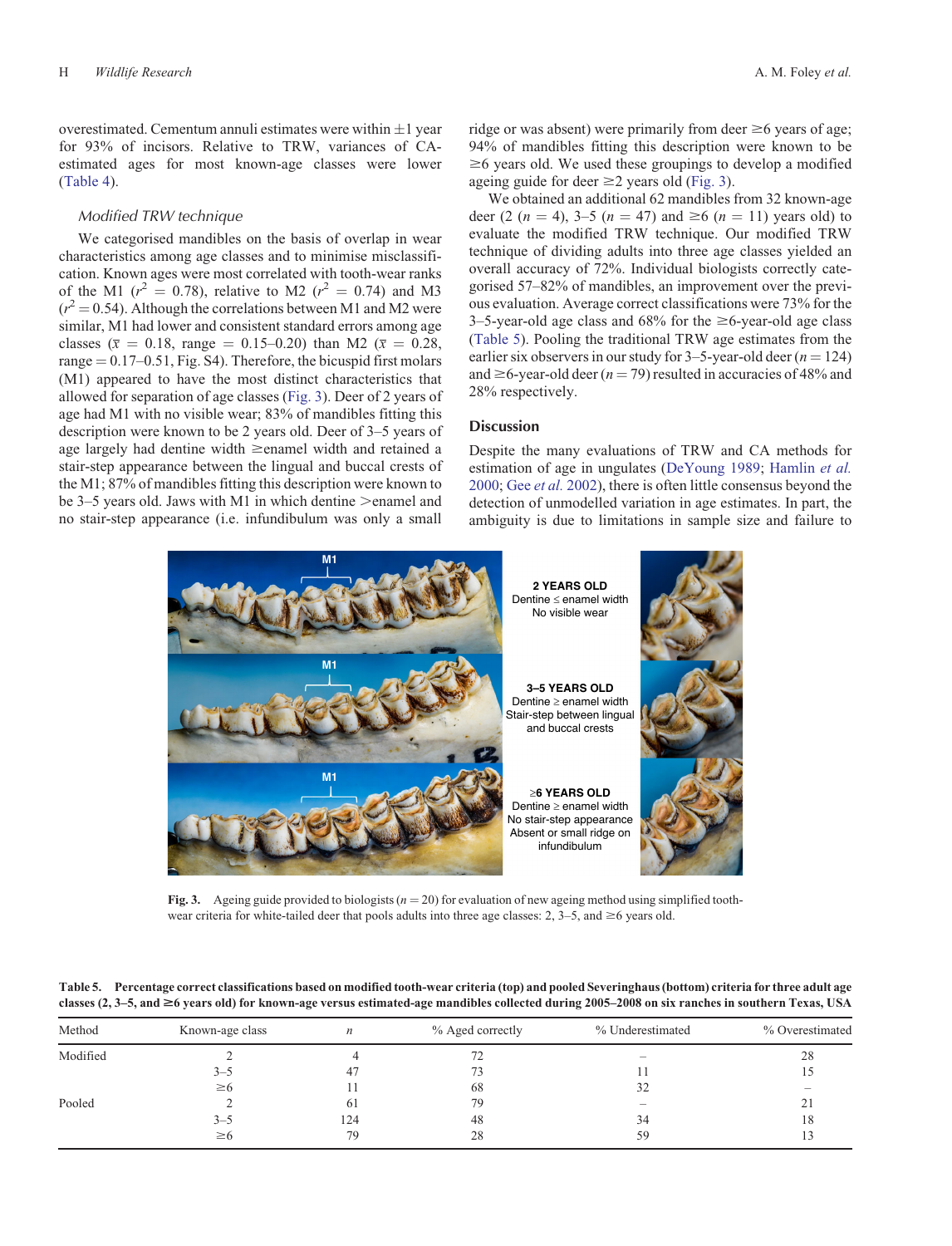overestimated. Cementum annuli estimates were within  $\pm 1$  year for 93% of incisors. Relative to TRW, variances of CAestimated ages for most known-age classes were lower [\(Table 4\)](#page-6-0).

## *Modified TRW technique*

We categorised mandibles on the basis of overlap in wear characteristics among age classes and to minimise misclassification. Known ages were most correlated with tooth-wear ranks of the M1 ( $r^2 = 0.78$ ), relative to M2 ( $r^2 = 0.74$ ) and M3  $(r^2 = 0.54)$ . Although the correlations between M1 and M2 were similar, M1 had lower and consistent standard errors among age classes ( $\bar{x} = 0.18$ , range = 0.15–0.20) than M2 ( $\bar{x} = 0.28$ , range  $= 0.17-0.51$ , Fig. S4). Therefore, the bicuspid first molars (M1) appeared to have the most distinct characteristics that allowed for separation of age classes (Fig. 3). Deer of 2 years of age had M1 with no visible wear; 83% of mandibles fitting this description were known to be 2 years old. Deer of 3–5 years of age largely had dentine width  $\ge$ enamel width and retained a stair-step appearance between the lingual and buccal crests of the M1; 87% of mandibles fitting this description were known to be 3–5 years old. Jaws with M1 in which dentine  $>$ enamel and no stair-step appearance (i.e. infundibulum was only a small

ridge or was absent) were primarily from deer  $\geq 6$  years of age; 94% of mandibles fitting this description were known to be  $\geq 6$  years old. We used these groupings to develop a modified ageing guide for deer  $\geq$  years old (Fig. 3).

We obtained an additional 62 mandibles from 32 known-age deer (2 ( $n = 4$ ), 3–5 ( $n = 47$ ) and  $\geq 6$  ( $n = 11$ ) years old) to evaluate the modified TRW technique. Our modified TRW technique of dividing adults into three age classes yielded an overall accuracy of 72%. Individual biologists correctly categorised 57–82% of mandibles, an improvement over the previous evaluation. Average correct classifications were 73% for the 3–5-year-old age class and  $68\%$  for the  $\geq 6$ -year-old age class (Table 5). Pooling the traditional TRW age estimates from the earlier six observers in our study for  $3-5$ -year-old deer ( $n = 124$ ) and  $\geq$  6-year-old deer ( $n = 79$ ) resulted in accuracies of 48% and 28% respectively.

## **Discussion**

Despite the many evaluations of TRW and CA methods for estimation of age in ungulates ([DeYoung 1989;](#page-10-0) [Hamlin](#page-11-0) *et al.* [2000](#page-11-0); Gee *et al.* [2002\)](#page-11-0), there is often little consensus beyond the detection of unmodelled variation in age estimates. In part, the ambiguity is due to limitations in sample size and failure to



**Fig. 3.** Ageing guide provided to biologists ( $n = 20$ ) for evaluation of new ageing method using simplified toothwear criteria for white-tailed deer that pools adults into three age classes: 2,  $3-5$ , and  $\geq 6$  years old.

**Table 5. Percentage correct classifications based on modified tooth-wear criteria (top) and pooled Severinghaus (bottom) criteria for three adult age classes (2, 3–5, and \$6 years old) for known-age versus estimated-age mandibles collected during 2005–2008 on six ranches in southern Texas, USA**

| Method   | Known-age class | $\boldsymbol{n}$ | % Aged correctly | % Underestimated         | % Overestimated |
|----------|-----------------|------------------|------------------|--------------------------|-----------------|
| Modified |                 |                  |                  | $\overline{\phantom{a}}$ | 28              |
|          | $3 - 5$         | 47               |                  |                          |                 |
|          | $\geq 6$        |                  | 68               | 32                       |                 |
| Pooled   |                 | 61               | 79               | $\overline{\phantom{a}}$ | 21              |
|          | $3 - 5$         | 124              | 48               | 34                       | 18              |
|          | $\geq 6$        | 79               | 28               | 59                       |                 |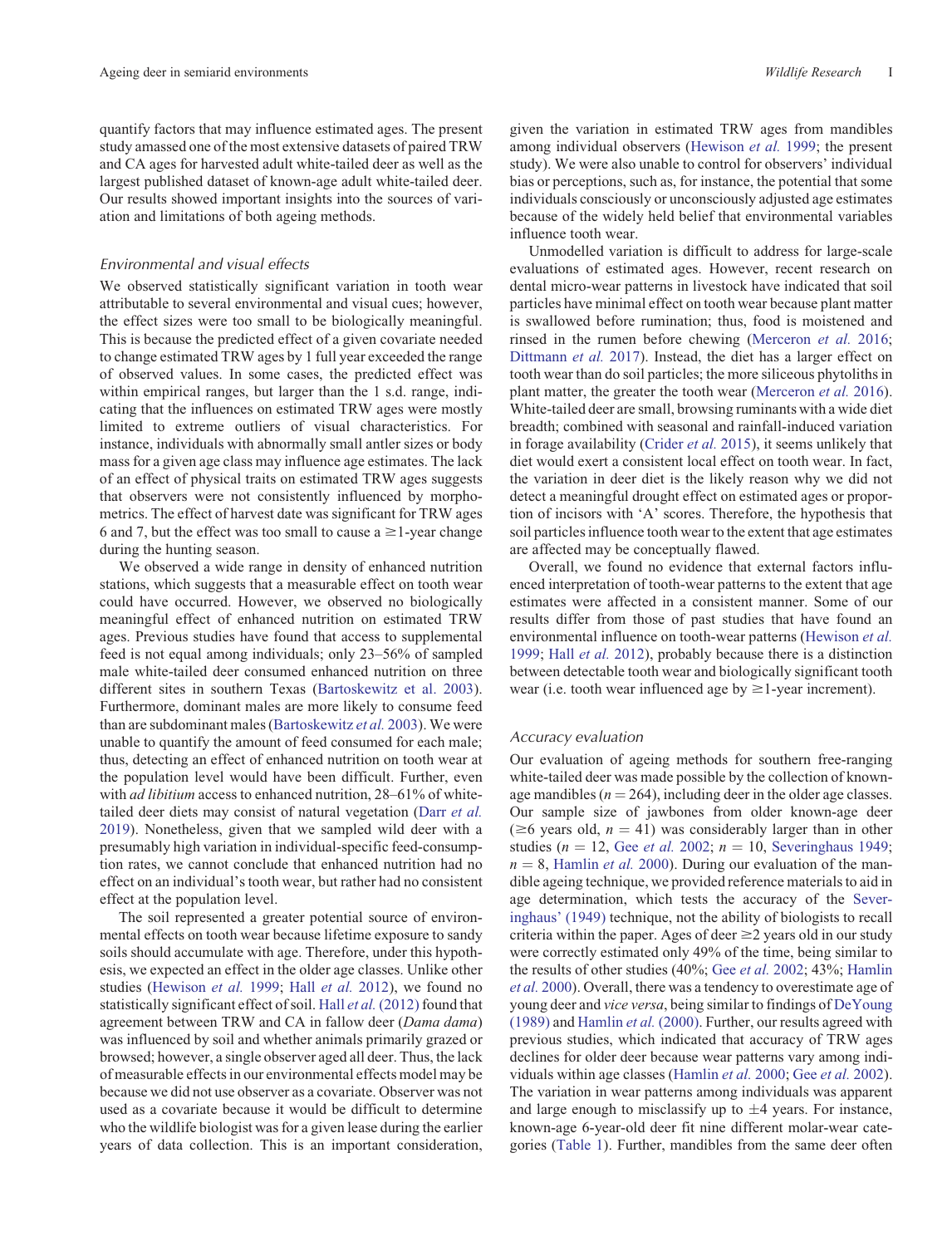quantify factors that may influence estimated ages. The present study amassed one of the most extensive datasets of paired TRW and CA ages for harvested adult white-tailed deer as well as the largest published dataset of known-age adult white-tailed deer. Our results showed important insights into the sources of variation and limitations of both ageing methods.

## *Environmental and visual effects*

We observed statistically significant variation in tooth wear attributable to several environmental and visual cues; however, the effect sizes were too small to be biologically meaningful. This is because the predicted effect of a given covariate needed to change estimated TRW ages by 1 full year exceeded the range of observed values. In some cases, the predicted effect was within empirical ranges, but larger than the 1 s.d. range, indicating that the influences on estimated TRW ages were mostly limited to extreme outliers of visual characteristics. For instance, individuals with abnormally small antler sizes or body mass for a given age class may influence age estimates. The lack of an effect of physical traits on estimated TRW ages suggests that observers were not consistently influenced by morphometrics. The effect of harvest date was significant for TRW ages 6 and 7, but the effect was too small to cause a  $\geq$  1-year change during the hunting season.

We observed a wide range in density of enhanced nutrition stations, which suggests that a measurable effect on tooth wear could have occurred. However, we observed no biologically meaningful effect of enhanced nutrition on estimated TRW ages. Previous studies have found that access to supplemental feed is not equal among individuals; only 23–56% of sampled male white-tailed deer consumed enhanced nutrition on three different sites in southern Texas ([Bartoskewitz et al. 2003](#page-10-0)). Furthermore, dominant males are more likely to consume feed than are subdominant males [\(Bartoskewitz](#page-10-0) *et al.* 2003). We were unable to quantify the amount of feed consumed for each male; thus, detecting an effect of enhanced nutrition on tooth wear at the population level would have been difficult. Further, even with *ad libitium* access to enhanced nutrition, 28–61% of whitetailed deer diets may consist of natural vegetation (Darr *[et al.](#page-10-0)* [2019](#page-10-0)). Nonetheless, given that we sampled wild deer with a presumably high variation in individual-specific feed-consumption rates, we cannot conclude that enhanced nutrition had no effect on an individual's tooth wear, but rather had no consistent effect at the population level.

The soil represented a greater potential source of environmental effects on tooth wear because lifetime exposure to sandy soils should accumulate with age. Therefore, under this hypothesis, we expected an effect in the older age classes. Unlike other studies [\(Hewison](#page-11-0) *et al.* 1999; Hall *[et al.](#page-11-0)* 2012), we found no statistically significant effect of soil. Hall *et al.* [\(2012\)](#page-11-0) found that agreement between TRW and CA in fallow deer (*Dama dama*) was influenced by soil and whether animals primarily grazed or browsed; however, a single observer aged all deer. Thus, the lack of measurable effects in our environmental effects model may be because we did not use observer as a covariate. Observer was not used as a covariate because it would be difficult to determine who the wildlife biologist was for a given lease during the earlier years of data collection. This is an important consideration,

given the variation in estimated TRW ages from mandibles among individual observers ([Hewison](#page-11-0) *et al.* 1999; the present study). We were also unable to control for observers' individual bias or perceptions, such as, for instance, the potential that some individuals consciously or unconsciously adjusted age estimates because of the widely held belief that environmental variables influence tooth wear.

Unmodelled variation is difficult to address for large-scale evaluations of estimated ages. However, recent research on dental micro-wear patterns in livestock have indicated that soil particles have minimal effect on tooth wear because plant matter is swallowed before rumination; thus, food is moistened and rinsed in the rumen before chewing [\(Merceron](#page-11-0) *et al.* 2016; [Dittmann](#page-10-0) *et al.* 2017). Instead, the diet has a larger effect on tooth wear than do soil particles; the more siliceous phytoliths in plant matter, the greater the tooth wear ([Merceron](#page-11-0) *et al.* 2016). White-tailed deer are small, browsing ruminants with a wide diet breadth; combined with seasonal and rainfall-induced variation in forage availability [\(Crider](#page-10-0) *et al.* 2015), it seems unlikely that diet would exert a consistent local effect on tooth wear. In fact, the variation in deer diet is the likely reason why we did not detect a meaningful drought effect on estimated ages or proportion of incisors with 'A' scores. Therefore, the hypothesis that soil particles influence tooth wear to the extent that age estimates are affected may be conceptually flawed.

Overall, we found no evidence that external factors influenced interpretation of tooth-wear patterns to the extent that age estimates were affected in a consistent manner. Some of our results differ from those of past studies that have found an environmental influence on tooth-wear patterns ([Hewison](#page-11-0) *et al.* [1999;](#page-11-0) Hall *[et al.](#page-11-0)* 2012), probably because there is a distinction between detectable tooth wear and biologically significant tooth wear (i.e. tooth wear influenced age by  $\geq$  1-year increment).

#### *Accuracy evaluation*

Our evaluation of ageing methods for southern free-ranging white-tailed deer was made possible by the collection of knownage mandibles ( $n = 264$ ), including deer in the older age classes. Our sample size of jawbones from older known-age deer ( $\geq 6$  years old,  $n = 41$ ) was considerably larger than in other studies ( $n = 12$ , Gee *[et al.](#page-11-0)* 2002;  $n = 10$ , [Severinghaus 1949;](#page-12-0)  $n = 8$ , [Hamlin](#page-11-0) *et al.* 2000). During our evaluation of the mandible ageing technique, we provided reference materials to aid in age determination, which tests the accuracy of the [Sever](#page-12-0)[inghaus' \(1949\)](#page-12-0) technique, not the ability of biologists to recall criteria within the paper. Ages of deer  $\geq$  years old in our study were correctly estimated only 49% of the time, being similar to the results of other studies (40%; Gee *et al.* [2002;](#page-11-0) 43%; [Hamlin](#page-11-0) *et al.* [2000\)](#page-11-0). Overall, there was a tendency to overestimate age of young deer and *vice versa*, being similar to findings of [DeYoung](#page-10-0) [\(1989\)](#page-10-0) and [Hamlin](#page-11-0) *et al.* (2000). Further, our results agreed with previous studies, which indicated that accuracy of TRW ages declines for older deer because wear patterns vary among individuals within age classes [\(Hamlin](#page-11-0) *et al.* 2000; Gee *et al.* [2002\)](#page-11-0). The variation in wear patterns among individuals was apparent and large enough to misclassify up to  $\pm 4$  years. For instance, known-age 6-year-old deer fit nine different molar-wear categories [\(Table 1\)](#page-4-0). Further, mandibles from the same deer often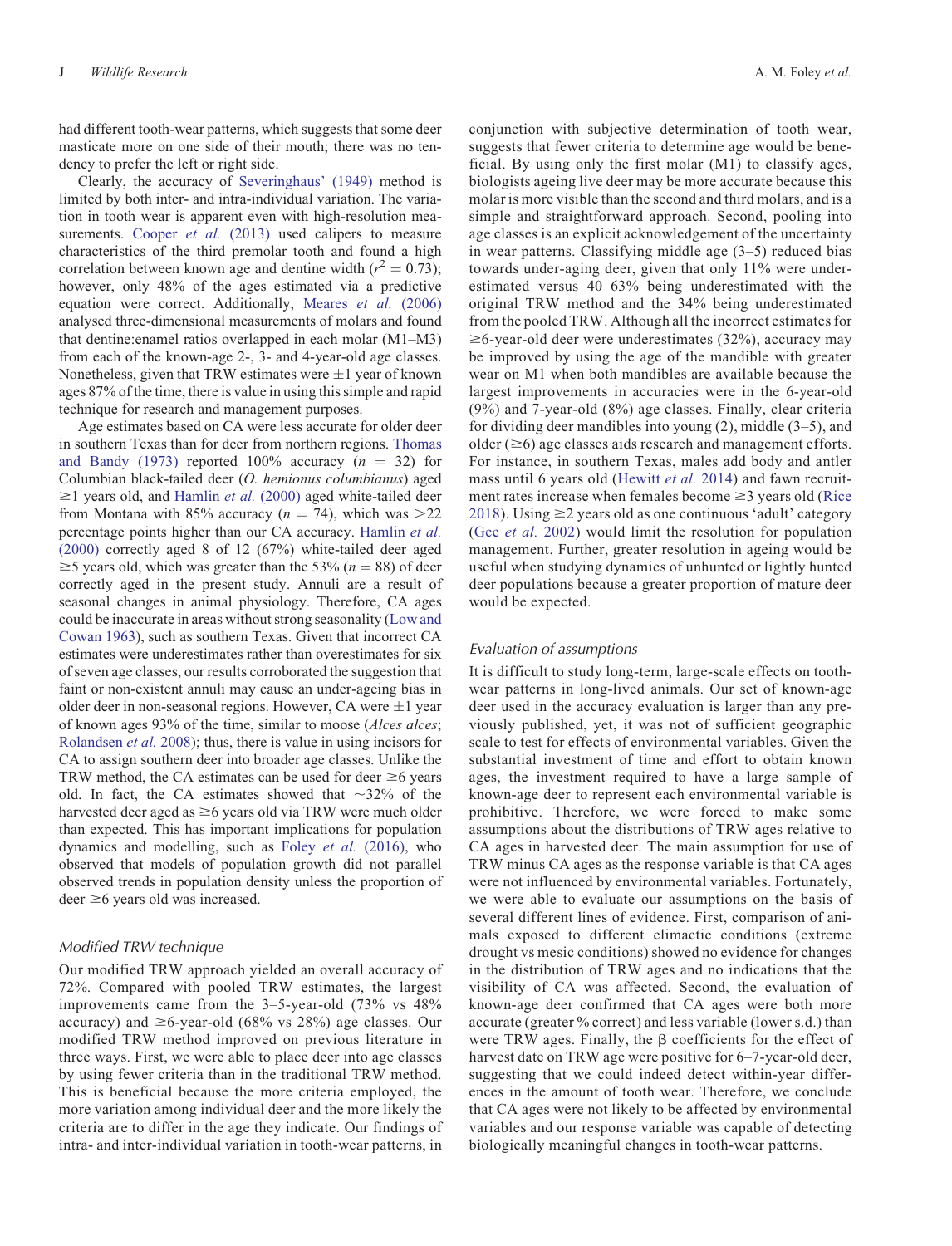had different tooth-wear patterns, which suggests that some deer masticate more on one side of their mouth; there was no tendency to prefer the left or right side.

Clearly, the accuracy of [Severinghaus' \(1949\)](#page-12-0) method is limited by both inter- and intra-individual variation. The variation in tooth wear is apparent even with high-resolution mea-surements. [Cooper](#page-10-0) *et al.* (2013) used calipers to measure characteristics of the third premolar tooth and found a high correlation between known age and dentine width  $(r^2 = 0.73)$ ; however, only 48% of the ages estimated via a predictive equation were correct. Additionally, [Meares](#page-11-0) *et al.* (2006) analysed three-dimensional measurements of molars and found that dentine:enamel ratios overlapped in each molar (M1–M3) from each of the known-age 2-, 3- and 4-year-old age classes. Nonetheless, given that TRW estimates were  $\pm 1$  year of known ages 87% of the time, there is value in using this simple and rapid technique for research and management purposes.

Age estimates based on CA were less accurate for older deer in southern Texas than for deer from northern regions. [Thomas](#page-12-0) [and Bandy \(1973\)](#page-12-0) reported 100% accuracy  $(n = 32)$  for Columbian black-tailed deer (*O. hemionus columbianus*) aged  $\geq$ 1 years old, and [Hamlin](#page-11-0) *et al.* (2000) aged white-tailed deer from Montana with 85% accuracy  $(n = 74)$ , which was  $>22$ percentage points higher than our CA accuracy. [Hamlin](#page-11-0) *et al.* [\(2000\)](#page-11-0) correctly aged 8 of 12 (67%) white-tailed deer aged  $\geq$  5 years old, which was greater than the 53% ( $n = 88$ ) of deer correctly aged in the present study. Annuli are a result of seasonal changes in animal physiology. Therefore, CA ages could be inaccurate in areas without strong seasonality ([Low and](#page-11-0) [Cowan 1963\)](#page-11-0), such as southern Texas. Given that incorrect CA estimates were underestimates rather than overestimates for six of seven age classes, our results corroborated the suggestion that faint or non-existent annuli may cause an under-ageing bias in older deer in non-seasonal regions. However, CA were  $\pm 1$  year of known ages 93% of the time, similar to moose (*Alces alces*; [Rolandsen](#page-11-0) *et al.* 2008); thus, there is value in using incisors for CA to assign southern deer into broader age classes. Unlike the TRW method, the CA estimates can be used for deer  $\geq 6$  years old. In fact, the CA estimates showed that  $\sim$ 32% of the harvested deer aged as  $\geq$ 6 years old via TRW were much older than expected. This has important implications for population dynamics and modelling, such as Foley *et al.* [\(2016\)](#page-10-0), who observed that models of population growth did not parallel observed trends in population density unless the proportion of  $\text{deer} \geq 6$  years old was increased.

#### *Modified TRW technique*

Our modified TRW approach yielded an overall accuracy of 72%. Compared with pooled TRW estimates, the largest improvements came from the 3–5-year-old (73% vs 48% accuracy) and  $\geq$ 6-year-old (68% vs 28%) age classes. Our modified TRW method improved on previous literature in three ways. First, we were able to place deer into age classes by using fewer criteria than in the traditional TRW method. This is beneficial because the more criteria employed, the more variation among individual deer and the more likely the criteria are to differ in the age they indicate. Our findings of intra- and inter-individual variation in tooth-wear patterns, in

conjunction with subjective determination of tooth wear, suggests that fewer criteria to determine age would be beneficial. By using only the first molar (M1) to classify ages, biologists ageing live deer may be more accurate because this molar is more visible than the second and third molars, and is a simple and straightforward approach. Second, pooling into age classes is an explicit acknowledgement of the uncertainty in wear patterns. Classifying middle age (3–5) reduced bias towards under-aging deer, given that only 11% were underestimated versus 40–63% being underestimated with the original TRW method and the 34% being underestimated from the pooled TRW. Although all the incorrect estimates for  $\geq$ 6-year-old deer were underestimates (32%), accuracy may be improved by using the age of the mandible with greater wear on M1 when both mandibles are available because the largest improvements in accuracies were in the 6-year-old (9%) and 7-year-old (8%) age classes. Finally, clear criteria for dividing deer mandibles into young (2), middle (3–5), and older  $(\geq 6)$  age classes aids research and management efforts. For instance, in southern Texas, males add body and antler mass until 6 years old [\(Hewitt](#page-11-0) *et al.* 2014) and fawn recruitment rates increase when females become  $\geq$ 3 years old ([Rice](#page-11-0) [2018](#page-11-0)). Using  $\geq$  years old as one continuous 'adult' category (Gee *[et al.](#page-11-0)* 2002) would limit the resolution for population management. Further, greater resolution in ageing would be useful when studying dynamics of unhunted or lightly hunted deer populations because a greater proportion of mature deer would be expected.

#### *Evaluation of assumptions*

It is difficult to study long-term, large-scale effects on toothwear patterns in long-lived animals. Our set of known-age deer used in the accuracy evaluation is larger than any previously published, yet, it was not of sufficient geographic scale to test for effects of environmental variables. Given the substantial investment of time and effort to obtain known ages, the investment required to have a large sample of known-age deer to represent each environmental variable is prohibitive. Therefore, we were forced to make some assumptions about the distributions of TRW ages relative to CA ages in harvested deer. The main assumption for use of TRW minus CA ages as the response variable is that CA ages were not influenced by environmental variables. Fortunately, we were able to evaluate our assumptions on the basis of several different lines of evidence. First, comparison of animals exposed to different climactic conditions (extreme drought vs mesic conditions) showed no evidence for changes in the distribution of TRW ages and no indications that the visibility of CA was affected. Second, the evaluation of known-age deer confirmed that CA ages were both more accurate (greater % correct) and less variable (lower s.d.) than were TRW ages. Finally, the  $\beta$  coefficients for the effect of harvest date on TRW age were positive for 6–7-year-old deer, suggesting that we could indeed detect within-year differences in the amount of tooth wear. Therefore, we conclude that CA ages were not likely to be affected by environmental variables and our response variable was capable of detecting biologically meaningful changes in tooth-wear patterns.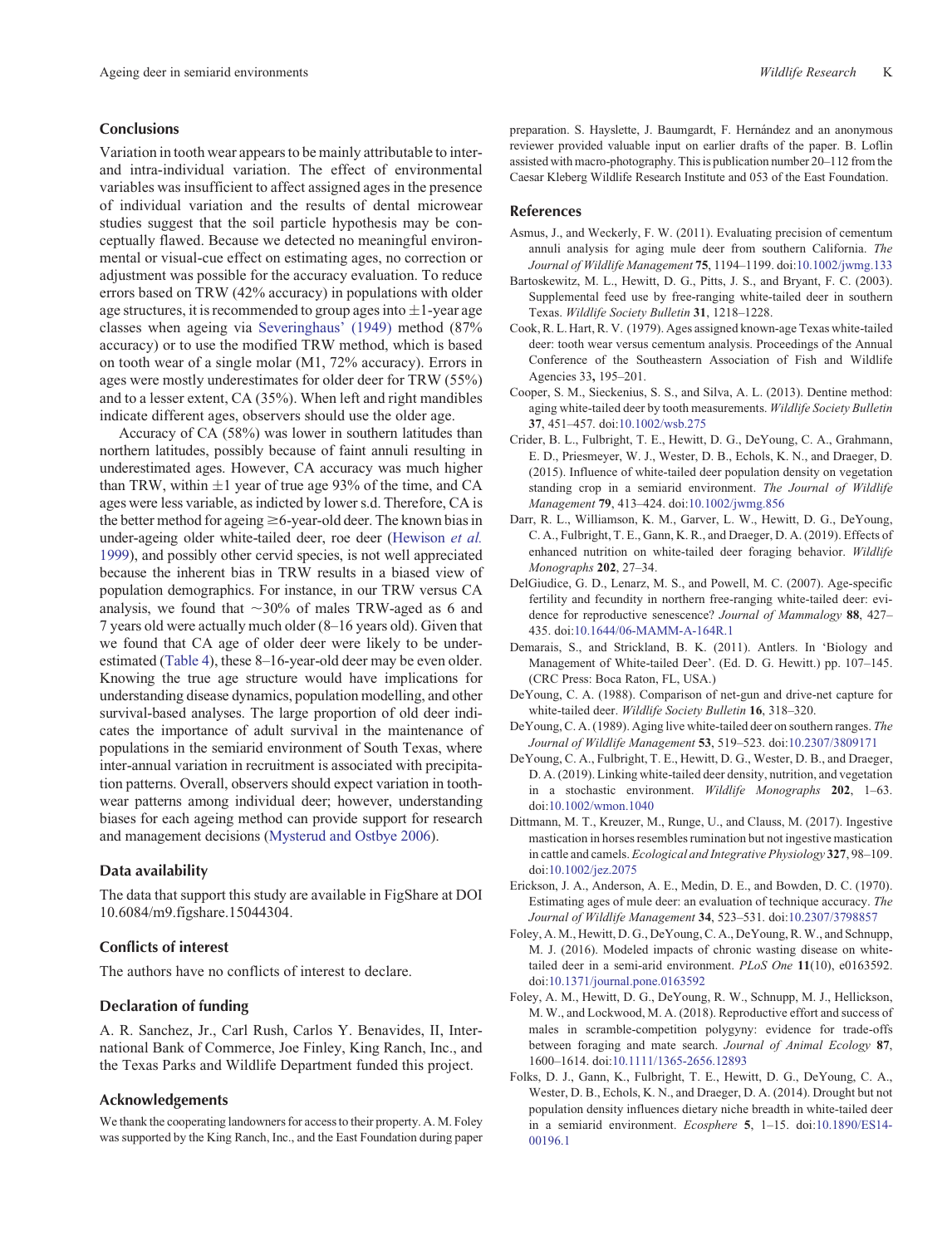#### <span id="page-10-0"></span>**Conclusions**

Variation in tooth wear appears to be mainly attributable to interand intra-individual variation. The effect of environmental variables was insufficient to affect assigned ages in the presence of individual variation and the results of dental microwear studies suggest that the soil particle hypothesis may be conceptually flawed. Because we detected no meaningful environmental or visual-cue effect on estimating ages, no correction or adjustment was possible for the accuracy evaluation. To reduce errors based on TRW (42% accuracy) in populations with older age structures, it is recommended to group ages into  $\pm 1$ -year age classes when ageing via [Severinghaus' \(1949\)](#page-12-0) method (87% accuracy) or to use the modified TRW method, which is based on tooth wear of a single molar (M1, 72% accuracy). Errors in ages were mostly underestimates for older deer for TRW (55%) and to a lesser extent, CA (35%). When left and right mandibles indicate different ages, observers should use the older age.

Accuracy of CA (58%) was lower in southern latitudes than northern latitudes, possibly because of faint annuli resulting in underestimated ages. However, CA accuracy was much higher than TRW, within  $\pm 1$  year of true age 93% of the time, and CA ages were less variable, as indicted by lower s.d. Therefore, CA is the better method for ageing  $\geq$  6-year-old deer. The known bias in under-ageing older white-tailed deer, roe deer [\(Hewison](#page-11-0) *et al.* [1999\)](#page-11-0), and possibly other cervid species, is not well appreciated because the inherent bias in TRW results in a biased view of population demographics. For instance, in our TRW versus CA analysis, we found that  $\sim$ 30% of males TRW-aged as 6 and 7 years old were actually much older (8–16 years old). Given that we found that CA age of older deer were likely to be underestimated [\(Table 4\)](#page-6-0), these 8–16-year-old deer may be even older. Knowing the true age structure would have implications for understanding disease dynamics, population modelling, and other survival-based analyses. The large proportion of old deer indicates the importance of adult survival in the maintenance of populations in the semiarid environment of South Texas, where inter-annual variation in recruitment is associated with precipitation patterns. Overall, observers should expect variation in toothwear patterns among individual deer; however, understanding biases for each ageing method can provide support for research and management decisions [\(Mysterud and Ostbye 2006](#page-11-0)).

## **Data availability**

The data that support this study are available in FigShare at DOI 10.6084/m9.figshare.15044304.

## **Conflicts of interest**

The authors have no conflicts of interest to declare.

# **Declaration of funding**

A. R. Sanchez, Jr., Carl Rush, Carlos Y. Benavides, II, International Bank of Commerce, Joe Finley, King Ranch, Inc., and the Texas Parks and Wildlife Department funded this project.

## **Acknowledgements**

We thank the cooperating landowners for access to their property. A. M. Foley was supported by the King Ranch, Inc., and the East Foundation during paper preparation. S. Hayslette, J. Baumgardt, F. Hernández and an anonymous reviewer provided valuable input on earlier drafts of the paper. B. Loflin assisted with macro-photography. This is publication number 20–112 from the Caesar Kleberg Wildlife Research Institute and 053 of the East Foundation.

## **References**

- Asmus, J., and Weckerly, F. W. (2011). Evaluating precision of cementum annuli analysis for aging mule deer from southern California. *The Journal of Wildlife Management* **75**, 1194–1199. doi[:10.1002/jwmg.133](http://dx.doi.org/10.1002/jwmg.133)
- Bartoskewitz, M. L., Hewitt, D. G., Pitts, J. S., and Bryant, F. C. (2003). Supplemental feed use by free-ranging white-tailed deer in southern Texas. *Wildlife Society Bulletin* **31**, 1218–1228.
- Cook, R. L. Hart, R. V. (1979). Ages assigned known-age Texas white-tailed deer: tooth wear versus cementum analysis. Proceedings of the Annual Conference of the Southeastern Association of Fish and Wildlife Agencies 33**,** 195–201.
- Cooper, S. M., Sieckenius, S. S., and Silva, A. L. (2013). Dentine method: aging white-tailed deer by tooth measurements. *Wildlife Society Bulletin* **37**, 451–457. doi[:10.1002/wsb.275](http://dx.doi.org/10.1002/wsb.275)
- Crider, B. L., Fulbright, T. E., Hewitt, D. G., DeYoung, C. A., Grahmann, E. D., Priesmeyer, W. J., Wester, D. B., Echols, K. N., and Draeger, D. (2015). Influence of white-tailed deer population density on vegetation standing crop in a semiarid environment. *The Journal of Wildlife Management* **79**, 413–424. doi:[10.1002/jwmg.856](http://dx.doi.org/10.1002/jwmg.856)
- Darr, R. L., Williamson, K. M., Garver, L. W., Hewitt, D. G., DeYoung, C. A., Fulbright, T. E., Gann, K. R., and Draeger, D. A. (2019). Effects of enhanced nutrition on white-tailed deer foraging behavior. *Wildlife Monographs* **202**, 27–34.
- DelGiudice, G. D., Lenarz, M. S., and Powell, M. C. (2007). Age-specific fertility and fecundity in northern free-ranging white-tailed deer: evidence for reproductive senescence? *Journal of Mammalogy* **88**, 427– 435. doi[:10.1644/06-MAMM-A-164R.1](http://dx.doi.org/10.1644/06-MAMM-A-164R.1)
- Demarais, S., and Strickland, B. K. (2011). Antlers. In 'Biology and Management of White-tailed Deer'. (Ed. D. G. Hewitt.) pp. 107–145. (CRC Press: Boca Raton, FL, USA.)
- DeYoung, C. A. (1988). Comparison of net-gun and drive-net capture for white-tailed deer. *Wildlife Society Bulletin* **16**, 318–320.
- DeYoung, C. A. (1989). Aging live white-tailed deer on southern ranges. *The Journal of Wildlife Management* **53**, 519–523. doi[:10.2307/3809171](http://dx.doi.org/10.2307/3809171)
- DeYoung, C. A., Fulbright, T. E., Hewitt, D. G., Wester, D. B., and Draeger, D. A. (2019). Linking white-tailed deer density, nutrition, and vegetation in a stochastic environment. *Wildlife Monographs* **202**, 1–63. doi[:10.1002/wmon.1040](http://dx.doi.org/10.1002/wmon.1040)
- Dittmann, M. T., Kreuzer, M., Runge, U., and Clauss, M. (2017). Ingestive mastication in horses resembles rumination but not ingestive mastication in cattle and camels. *Ecological and Integrative Physiology* **327**, 98–109. doi[:10.1002/jez.2075](http://dx.doi.org/10.1002/jez.2075)
- Erickson, J. A., Anderson, A. E., Medin, D. E., and Bowden, D. C. (1970). Estimating ages of mule deer: an evaluation of technique accuracy. *The Journal of Wildlife Management* **34**, 523–531. doi[:10.2307/3798857](http://dx.doi.org/10.2307/3798857)
- Foley, A. M., Hewitt, D. G., DeYoung, C. A., DeYoung, R. W., and Schnupp, M. J. (2016). Modeled impacts of chronic wasting disease on whitetailed deer in a semi-arid environment. *PLoS One* **11**(10), e0163592. doi[:10.1371/journal.pone.0163592](http://dx.doi.org/10.1371/journal.pone.0163592)
- Foley, A. M., Hewitt, D. G., DeYoung, R. W., Schnupp, M. J., Hellickson, M. W., and Lockwood, M. A. (2018). Reproductive effort and success of males in scramble-competition polygyny: evidence for trade-offs between foraging and mate search. *Journal of Animal Ecology* **87**, 1600–1614. doi[:10.1111/1365-2656.12893](http://dx.doi.org/10.1111/1365-2656.12893)
- Folks, D. J., Gann, K., Fulbright, T. E., Hewitt, D. G., DeYoung, C. A., Wester, D. B., Echols, K. N., and Draeger, D. A. (2014). Drought but not population density influences dietary niche breadth in white-tailed deer in a semiarid environment. *Ecosphere* **5**, 1–15. doi:[10.1890/ES14-](http://dx.doi.org/10.1890/ES14-00196.1) [00196.1](http://dx.doi.org/10.1890/ES14-00196.1)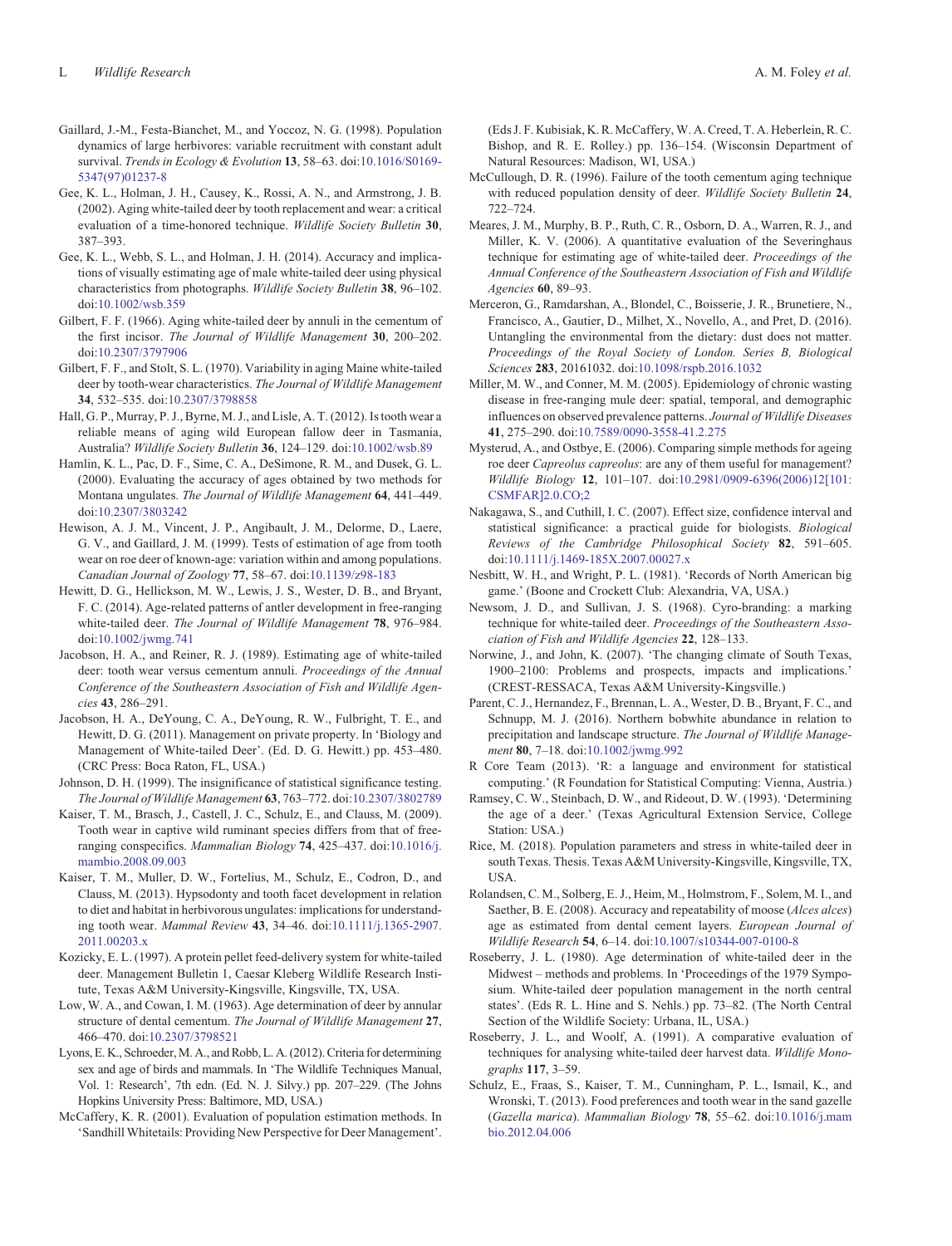- <span id="page-11-0"></span>Gaillard, J.-M., Festa-Bianchet, M., and Yoccoz, N. G. (1998). Population dynamics of large herbivores: variable recruitment with constant adult survival. *Trends in Ecology & Evolution* **13**, 58–63. doi[:10.1016/S0169-](http://dx.doi.org/10.1016/S0169-5347(97)01237-8) [5347\(97\)01237-8](http://dx.doi.org/10.1016/S0169-5347(97)01237-8)
- Gee, K. L., Holman, J. H., Causey, K., Rossi, A. N., and Armstrong, J. B. (2002). Aging white-tailed deer by tooth replacement and wear: a critical evaluation of a time-honored technique. *Wildlife Society Bulletin* **30**, 387–393.
- Gee, K. L., Webb, S. L., and Holman, J. H. (2014). Accuracy and implications of visually estimating age of male white-tailed deer using physical characteristics from photographs. *Wildlife Society Bulletin* **38**, 96–102. doi[:10.1002/wsb.359](http://dx.doi.org/10.1002/wsb.359)
- Gilbert, F. F. (1966). Aging white-tailed deer by annuli in the cementum of the first incisor. *The Journal of Wildlife Management* **30**, 200–202. doi[:10.2307/3797906](http://dx.doi.org/10.2307/3797906)
- Gilbert, F. F., and Stolt, S. L. (1970). Variability in aging Maine white-tailed deer by tooth-wear characteristics. *The Journal of Wildlife Management* **34**, 532–535. doi[:10.2307/3798858](http://dx.doi.org/10.2307/3798858)
- Hall, G. P., Murray, P. J., Byrne, M. J., and Lisle, A. T. (2012). Is tooth wear a reliable means of aging wild European fallow deer in Tasmania, Australia? *Wildlife Society Bulletin* **36**, 124–129. doi:[10.1002/wsb.89](http://dx.doi.org/10.1002/wsb.89)
- Hamlin, K. L., Pac, D. F., Sime, C. A., DeSimone, R. M., and Dusek, G. L. (2000). Evaluating the accuracy of ages obtained by two methods for Montana ungulates. *The Journal of Wildlife Management* **64**, 441–449. doi[:10.2307/3803242](http://dx.doi.org/10.2307/3803242)
- Hewison, A. J. M., Vincent, J. P., Angibault, J. M., Delorme, D., Laere, G. V., and Gaillard, J. M. (1999). Tests of estimation of age from tooth wear on roe deer of known-age: variation within and among populations. *Canadian Journal of Zoology* **77**, 58–67. doi:[10.1139/z98-183](http://dx.doi.org/10.1139/z98-183)
- Hewitt, D. G., Hellickson, M. W., Lewis, J. S., Wester, D. B., and Bryant, F. C. (2014). Age-related patterns of antler development in free-ranging white-tailed deer. *The Journal of Wildlife Management* **78**, 976–984. doi[:10.1002/jwmg.741](http://dx.doi.org/10.1002/jwmg.741)
- Jacobson, H. A., and Reiner, R. J. (1989). Estimating age of white-tailed deer: tooth wear versus cementum annuli. *Proceedings of the Annual Conference of the Southeastern Association of Fish and Wildlife Agencies* **43**, 286–291.
- Jacobson, H. A., DeYoung, C. A., DeYoung, R. W., Fulbright, T. E., and Hewitt, D. G. (2011). Management on private property. In 'Biology and Management of White-tailed Deer'. (Ed. D. G. Hewitt.) pp. 453–480. (CRC Press: Boca Raton, FL, USA.)
- Johnson, D. H. (1999). The insignificance of statistical significance testing. *The Journal of Wildlife Management* **63**, 763–772. doi[:10.2307/3802789](http://dx.doi.org/10.2307/3802789)
- Kaiser, T. M., Brasch, J., Castell, J. C., Schulz, E., and Clauss, M. (2009). Tooth wear in captive wild ruminant species differs from that of freeranging conspecifics. *Mammalian Biology* **74**, 425–437. doi[:10.1016/j.](http://dx.doi.org/10.1016/j.mambio.2008.09.003) [mambio.2008.09.003](http://dx.doi.org/10.1016/j.mambio.2008.09.003)
- Kaiser, T. M., Muller, D. W., Fortelius, M., Schulz, E., Codron, D., and Clauss, M. (2013). Hypsodonty and tooth facet development in relation to diet and habitat in herbivorous ungulates: implications for understanding tooth wear. *Mammal Review* **43**, 34–46. doi:[10.1111/j.1365-2907.](http://dx.doi.org/10.1111/j.1365-2907.2011.00203.x) [2011.00203.x](http://dx.doi.org/10.1111/j.1365-2907.2011.00203.x)
- Kozicky, E. L. (1997). A protein pellet feed-delivery system for white-tailed deer. Management Bulletin 1, Caesar Kleberg Wildlife Research Institute, Texas A&M University-Kingsville, Kingsville, TX, USA.
- Low, W. A., and Cowan, I. M. (1963). Age determination of deer by annular structure of dental cementum. *The Journal of Wildlife Management* **27**, 466–470. doi[:10.2307/3798521](http://dx.doi.org/10.2307/3798521)
- Lyons, E. K., Schroeder, M. A., and Robb, L. A. (2012). Criteria for determining sex and age of birds and mammals. In 'The Wildlife Techniques Manual, Vol. 1: Research', 7th edn. (Ed. N. J. Silvy.) pp. 207–229. (The Johns Hopkins University Press: Baltimore, MD, USA.)
- McCaffery, K. R. (2001). Evaluation of population estimation methods. In 'Sandhill Whitetails: Providing New Perspective for Deer Management'.

(Eds J. F. Kubisiak, K. R. McCaffery, W. A. Creed, T. A. Heberlein, R. C. Bishop, and R. E. Rolley.) pp. 136–154. (Wisconsin Department of Natural Resources: Madison, WI, USA.)

- McCullough, D. R. (1996). Failure of the tooth cementum aging technique with reduced population density of deer. *Wildlife Society Bulletin* **24**, 722–724.
- Meares, J. M., Murphy, B. P., Ruth, C. R., Osborn, D. A., Warren, R. J., and Miller, K. V. (2006). A quantitative evaluation of the Severinghaus technique for estimating age of white-tailed deer. *Proceedings of the Annual Conference of the Southeastern Association of Fish and Wildlife Agencies* **60**, 89–93.
- Merceron, G., Ramdarshan, A., Blondel, C., Boisserie, J. R., Brunetiere, N., Francisco, A., Gautier, D., Milhet, X., Novello, A., and Pret, D. (2016). Untangling the environmental from the dietary: dust does not matter. *Proceedings of the Royal Society of London. Series B, Biological Sciences* **283**, 20161032. doi[:10.1098/rspb.2016.1032](http://dx.doi.org/10.1098/rspb.2016.1032)
- Miller, M. W., and Conner, M. M. (2005). Epidemiology of chronic wasting disease in free-ranging mule deer: spatial, temporal, and demographic influences on observed prevalence patterns. *Journal of Wildlife Diseases* **41**, 275–290. doi:[10.7589/0090-3558-41.2.275](http://dx.doi.org/10.7589/0090-3558-41.2.275)
- Mysterud, A., and Ostbye, E. (2006). Comparing simple methods for ageing roe deer *Capreolus capreolus*: are any of them useful for management? *Wildlife Biology* **12**, 101–107. doi[:10.2981/0909-6396\(2006\)12\[101:](http://dx.doi.org/10.2981/0909-6396(2006)12[101:CSMFAR]2.0.CO;2) [CSMFAR\]2.0.CO;2](http://dx.doi.org/10.2981/0909-6396(2006)12[101:CSMFAR]2.0.CO;2)
- Nakagawa, S., and Cuthill, I. C. (2007). Effect size, confidence interval and statistical significance: a practical guide for biologists. *Biological Reviews of the Cambridge Philosophical Society* **82**, 591–605. doi:[10.1111/j.1469-185X.2007.00027.x](http://dx.doi.org/10.1111/j.1469-185X.2007.00027.x)
- Nesbitt, W. H., and Wright, P. L. (1981). 'Records of North American big game.' (Boone and Crockett Club: Alexandria, VA, USA.)
- Newsom, J. D., and Sullivan, J. S. (1968). Cyro-branding: a marking technique for white-tailed deer. *Proceedings of the Southeastern Association of Fish and Wildlife Agencies* **22**, 128–133.
- Norwine, J., and John, K. (2007). 'The changing climate of South Texas, 1900–2100: Problems and prospects, impacts and implications.' (CREST-RESSACA, Texas A&M University-Kingsville.)
- Parent, C. J., Hernandez, F., Brennan, L. A., Wester, D. B., Bryant, F. C., and Schnupp, M. J. (2016). Northern bobwhite abundance in relation to precipitation and landscape structure. *The Journal of Wildlife Management* **80**, 7–18. doi[:10.1002/jwmg.992](http://dx.doi.org/10.1002/jwmg.992)
- R Core Team (2013). 'R: a language and environment for statistical computing.' (R Foundation for Statistical Computing: Vienna, Austria.)
- Ramsey, C. W., Steinbach, D. W., and Rideout, D. W. (1993). 'Determining the age of a deer.' (Texas Agricultural Extension Service, College Station: USA.)
- Rice, M. (2018). Population parameters and stress in white-tailed deer in south Texas. Thesis. Texas A&M University-Kingsville, Kingsville, TX, USA.
- Rolandsen, C. M., Solberg, E. J., Heim, M., Holmstrom, F., Solem, M. I., and Saether, B. E. (2008). Accuracy and repeatability of moose (*Alces alces*) age as estimated from dental cement layers. *European Journal of Wildlife Research* **54**, 6–14. doi:[10.1007/s10344-007-0100-8](http://dx.doi.org/10.1007/s10344-007-0100-8)
- Roseberry, J. L. (1980). Age determination of white-tailed deer in the Midwest – methods and problems. In 'Proceedings of the 1979 Symposium. White-tailed deer population management in the north central states'. (Eds R. L. Hine and S. Nehls.) pp. 73–82. (The North Central Section of the Wildlife Society: Urbana, IL, USA.)
- Roseberry, J. L., and Woolf, A. (1991). A comparative evaluation of techniques for analysing white-tailed deer harvest data. *Wildlife Monographs* **117**, 3–59.
- Schulz, E., Fraas, S., Kaiser, T. M., Cunningham, P. L., Ismail, K., and Wronski, T. (2013). Food preferences and tooth wear in the sand gazelle (*Gazella marica*). *Mammalian Biology* **78**, 55–62. doi:[10.1016/j.mam](http://dx.doi.org/10.1016/j.mambio.2012.04.006) [bio.2012.04.006](http://dx.doi.org/10.1016/j.mambio.2012.04.006)